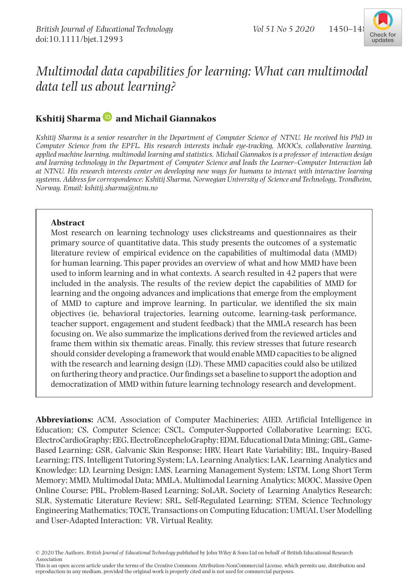

# *Multimodal data capabilities for learning: What can multimodal data tell us about learning?*

## **Kshitij Sharma <b>D** and Michail Giannakos

 *Kshitij Sharma is a senior researcher in the Department of Computer Science of NTNU. He received his PhD in Computer Science from the EPFL. His research interests include eye-tracking, MOOCs, collaborative learning, applied machine learning, multimodal learning and statistics. Michail Giannakos is a professor of interaction design and learning technology in the Department of Computer Science and leads the Learner–Computer Interaction lab at NTNU. His research interests center on developing new ways for humans to interact with interactive learning systems. Address for correspondence: Kshitij Sharma, Norwegian University of Science and Technology, Trondheim, Norway. Email: kshitij.sharma@ntnu.no* 

#### **Abstract**

 Most research on learning technology uses clickstreams and questionnaires as their primary source of quantitative data. This study presents the outcomes of a systematic literature review of empirical evidence on the capabilities of multimodal data (MMD) for human learning. This paper provides an overview of what and how MMD have been used to inform learning and in what contexts. A search resulted in 42 papers that were included in the analysis. The results of the review depict the capabilities of MMD for learning and the ongoing advances and implications that emerge from the employment of MMD to capture and improve learning. In particular, we identified the six main objectives (ie, behavioral trajectories, learning outcome, learning-task performance, teacher support, engagement and student feedback) that the MMLA research has been focusing on. We also summarize the implications derived from the reviewed articles and frame them within six thematic areas. Finally, this review stresses that future research should consider developing a framework that would enable MMD capacities to be aligned with the research and learning design (LD). These MMD capacities could also be utilized on furthering theory and practice. Our findings set a baseline to support the adoption and democratization of MMD within future learning technology research and development.

**Abbreviations:** ACM, Association of Computer Machineries; AIED, Artificial Intelligence in Education; CS, Computer Science; CSCL, Computer-Supported Collaborative Learning; ECG, ElectroCardioGraphy; EEG, ElectroEncepheloGraphy; EDM, Educational Data Mining; GBL, Game-Based Learning; GSR, Galvanic Skin Response; HRV, Heart Rate Variability; IBL, Inquiry-Based Learning ; ITS , Intelligent Tutoring System ; LA , Learning Analytics ; LAK , Learning Analytics and Knowledge; LD, Learning Design; LMS, Learning Management System; LSTM, Long Short Term Memory; MMD, Multimodal Data; MMLA, Multimodal Learning Analytics; MOOC, Massive Open Online Course; PBL, Problem-Based Learning; SoLAR, Society of Learning Analytics Research; SLR, Systematic Literature Review; SRL, Self-Regulated Learning; STEM, Science Technology Engineering Mathematics ; TOCE , Transactions on Computing Education ; UMUAI , User Modelling and User-Adapted Interaction; VR, Virtual Reality.

<sup>© 2020</sup> The Authors. *British Journal of Educational Technology* published by John Wiley & Sons Ltd on behalf of British Educational Research Association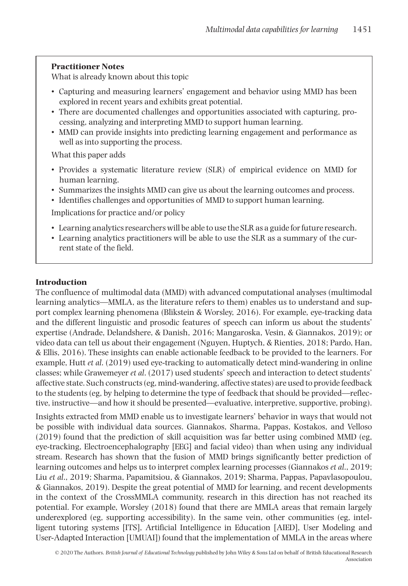#### **Practitioner Notes**

What is already known about this topic

- Capturing and measuring learners' engagement and behavior using MMD has been explored in recent years and exhibits great potential.
- There are documented challenges and opportunities associated with capturing, processing, analyzing and interpreting MMD to support human learning.
- MMD can provide insights into predicting learning engagement and performance as well as into supporting the process.

What this paper adds

- Provides a systematic literature review (SLR) of empirical evidence on MMD for human learning.
- Summarizes the insights MMD can give us about the learning outcomes and process.
- Identifies challenges and opportunities of MMD to support human learning.

Implications for practice and/or policy

- Learning analytics researchers will be able to use the SLR as a guide for future research.
- Learning analytics practitioners will be able to use the SLR as a summary of the current state of the field.

#### **Introduction**

 The confluence of multimodal data (MMD) with advanced computational analyses (multimodal learning analytics—MMLA, as the literature refers to them) enables us to understand and support complex learning phenomena (Blikstein & Worsley, 2016 ). For example, eye-tracking data and the different linguistic and prosodic features of speech can inform us about the students' expertise (Andrade, Delandshere, & Danish, 2016 ; Mangaroska, Vesin, & Giannakos, 2019 ); or video data can tell us about their engagement (Nguyen, Huptych, & Rienties, 2018 ; Pardo, Han, & Ellis, 2016 ). These insights can enable actionable feedback to be provided to the learners. For example, Hutt *et al.* (2019) used eye-tracking to automatically detect mind-wandering in online classes; while Grawemeyer *et al* . ( 2017 ) used students' speech and interaction to detect students' affective state. Such constructs (eg, mind-wandering, affective states) are used to provide feedback to the students (eg, by helping to determine the type of feedback that should be provided––reflective, instructive––and how it should be presented––evaluative, interpretive, supportive, probing).

 Insights extracted from MMD enable us to investigate learners' behavior in ways that would not be possible with individual data sources. Giannakos, Sharma, Pappas, Kostakos, and Velloso ( 2019 ) found that the prediction of skill acquisition was far better using combined MMD (eg, eye-tracking, Electroencephalography [EEG] and facial video) than when using any individual stream. Research has shown that the fusion of MMD brings significantly better prediction of learning outcomes and helps us to interpret complex learning processes (Giannakos *et al.*, 2019; Liu *et al* ., 2019 ; Sharma, Papamitsiou, & Giannakos, 2019 ; Sharma, Pappas, Papavlasopoulou, & Giannakos, 2019 ). Despite the great potential of MMD for learning, and recent developments in the context of the CrossMMLA community, research in this direction has not reached its potential. For example, Worsley ( 2018 ) found that there are MMLA areas that remain largely underexplored (eg, supporting accessibility). In the same vein, other communities (eg, intelligent tutoring systems [ITS], Artificial Intelligence in Education [AIED], User Modeling and User-Adapted Interaction [UMUAI]) found that the implementation of MMLA in the areas where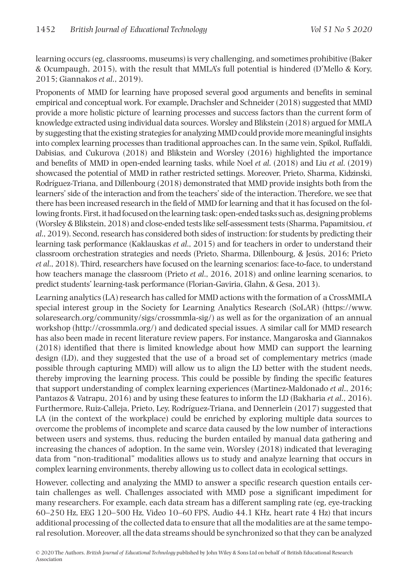learning occurs (eg, classrooms, museums) is very challenging, and sometimes prohibitive (Baker & Ocumpaugh, 2015 ), with the result that MMLA's full potential is hindered (D'Mello & Kory, 2015: Giannakos *et al.*, 2019).

 Proponents of MMD for learning have proposed several good arguments and benefits in seminal empirical and conceptual work. For example, Drachsler and Schneider ( 2018 ) suggested that MMD provide a more holistic picture of learning processes and success factors than the current form of knowledge extracted using individual data sources. Worsley and Blikstein ( 2018 ) argued for MMLA by suggesting that the existing strategies for analyzing MMD could provide more meaningful insights into complex learning processes than traditional approaches can. In the same vein, Spikol, Ruffaldi, Dabisias, and Cukurova (2018) and Blikstein and Worsley (2016) highlighted the importance and benefits of MMD in open-ended learning tasks, while Noel *et al* . ( 2018 ) and Liu *et al* . ( 2019 ) showcased the potential of MMD in rather restricted settings. Moreover, Prieto, Sharma, Kidzinski, Rodríguez-Triana, and Dillenbourg (2018) demonstrated that MMD provide insights both from the learners' side of the interaction and from the teachers' side of the interaction. Therefore, we see that there has been increased research in the field of MMD for learning and that it has focused on the following fronts. First, it had focused on the learning task: open-ended tasks such as, designing problems (Worsley & Blikstein, 2018 ) and close-ended tests like self-assessment tests (Sharma, Papamitsiou, *et al* ., 2019). Second, research has considered both sides of instruction: for students by predicting their learning task performance (Kaklauskas *et al.*, 2015) and for teachers in order to understand their classroom orchestration strategies and needs (Prieto, Sharma, Dillenbourg, & Jesús, 2016 ; Prieto *et al* ., 2018 ). Third, researchers have focused on the learning scenarios: face-to-face, to understand how teachers manage the classroom (Prieto *et al.*, 2016, 2018) and online learning scenarios, to predict students' learning-task performance (Florian-Gaviria, Glahn, & Gesa, 2013 ).

 Learning analytics (LA) research has called for MMD actions with the formation of a CrossMMLA special interest group in the Society for Learning Analytics Research (SoLAR) ( https://www. solar esearch.org/community/sigs/crossmmla-sig/) as well as for the organization of an annual workshop (http://crossmmla.org/) and dedicated special issues. A similar call for MMD research has also been made in recent literature review papers. For instance, Mangaroska and Giannakos ( 2018 ) identified that there is limited knowledge about how MMD can support the learning design (LD), and they suggested that the use of a broad set of complementary metrics (made possible through capturing MMD) will allow us to align the LD better with the student needs, thereby improving the learning process. This could be possible by finding the specific features that support understanding of complex learning experiences (Martinez-Maldonado *et al* ., 2016 ; Pantazos & Vatrapu, 2016) and by using these features to inform the LD (Bakharia *et al.*, 2016). Furthermore, Ruiz-Calleja, Prieto, Ley, Rodríguez-Triana, and Dennerlein ( 2017 ) suggested that LA (in the context of the workplace) could be enriched by exploring multiple data sources to overcome the problems of incomplete and scarce data caused by the low number of interactions between users and systems, thus, reducing the burden entailed by manual data gathering and increasing the chances of adoption. In the same vein, Worsley (2018) indicated that leveraging data from "non-traditional" modalities allows us to study and analyze learning that occurs in complex learning environments, thereby allowing us to collect data in ecological settings.

 However, collecting and analyzing the MMD to answer a specific research question entails certain challenges as well. Challenges associated with MMD pose a significant impediment for many researchers. For example, each data stream has a different sampling rate (eg, eye-tracking 60–250 Hz, EEG 120–500 Hz, Video 10–60 FPS, Audio 44.1 KHz, heart rate 4 Hz) that incurs additional processing of the collected data to ensure that all the modalities are at the same temporal resolution. Moreover, all the data streams should be synchronized so that they can be analyzed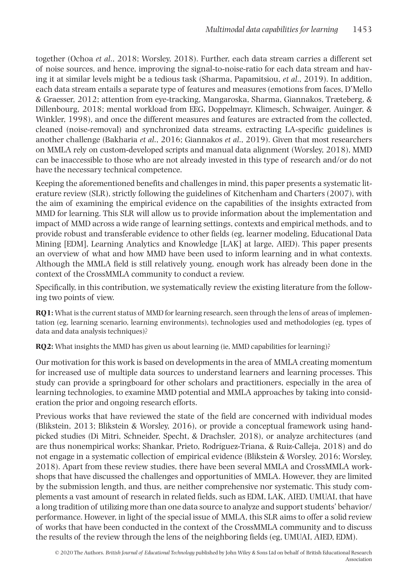together (Ochoa *et al.*, 2018; Worsley, 2018). Further, each data stream carries a different set of noise sources, and hence, improving the signal-to-noise-ratio for each data stream and having it at similar levels might be a tedious task (Sharma, Papamitsiou, *et al.*, 2019). In addition, each data stream entails a separate type of features and measures (emotions from faces, D'Mello & Graesser, 2012 ; attention from eye-tracking, Mangaroska, Sharma, Giannakos, Træteberg, & Dillenbourg, 2018 ; mental workload from EEG, Doppelmayr, Klimesch, Schwaiger, Auinger, & Winkler, 1998 ), and once the different measures and features are extracted from the collected, cleaned (noise-removal) and synchronized data streams, extracting LA-specific guidelines is another challenge (Bakharia *et al* ., 2016 ; Giannakos *et al* ., 2019 ). Given that most researchers on MMLA rely on custom-developed scripts and manual data alignment (Worsley, 2018 ), MMD can be inaccessible to those who are not already invested in this type of research and/or do not have the necessary technical competence.

 Keeping the aforementioned benefits and challenges in mind, this paper presents a systematic literature review (SLR), strictly following the guidelines of Kitchenham and Charters (2007), with the aim of examining the empirical evidence on the capabilities of the insights extracted from MMD for learning. This SLR will allow us to provide information about the implementation and impact of MMD across a wide range of learning settings, contexts and empirical methods, and to provide robust and transferable evidence to other fields (eg, learner modeling, Educational Data Mining [EDM], Learning Analytics and Knowledge [LAK] at large, AIED). This paper presents an overview of what and how MMD have been used to inform learning and in what contexts. Although the MMLA field is still relatively young, enough work has already been done in the context of the CrossMMLA community to conduct a review.

 Specifically, in this contribution, we systematically review the existing literature from the following two points of view.

**RQ1:** What is the current status of MMD for learning research, seen through the lens of areas of implementation (eg, learning scenario, learning environments), technologies used and methodologies (eg, types of data and data analysis techniques)?

**RQ2:** What insights the MMD has given us about learning (ie, MMD capabilities for learning)?

 Our motivation for this work is based on developments in the area of MMLA creating momentum for increased use of multiple data sources to understand learners and learning processes. This study can provide a springboard for other scholars and practitioners, especially in the area of learning technologies, to examine MMD potential and MMLA approaches by taking into consideration the prior and ongoing research efforts.

 Previous works that have reviewed the state of the field are concerned with individual modes (Blikstein, 2013; Blikstein & Worsley, 2016), or provide a conceptual framework using handpicked studies (Di Mitri, Schneider, Specht, & Drachsler, 2018 ), or analyze architectures (and are thus nonempirical works; Shankar, Prieto, Rodríguez-Triana, & Ruiz-Calleja, 2018 ) and do not engage in a systematic collection of empirical evidence (Blikstein & Worsley, 2016 ; Worsley, 2018 ). Apart from these review studies, there have been several MMLA and CrossMMLA workshops that have discussed the challenges and opportunities of MMLA. However, they are limited by the submission length, and thus, are neither comprehensive nor systematic. This study complements a vast amount of research in related fields, such as EDM, LAK, AIED, UMUAI, that have a long tradition of utilizing more than one data source to analyze and support students' behavior/ performance. However, in light of the special issue of MMLA, this SLR aims to offer a solid review of works that have been conducted in the context of the CrossMMLA community and to discuss the results of the review through the lens of the neighboring fields (eg, UMUAI, AIED, EDM).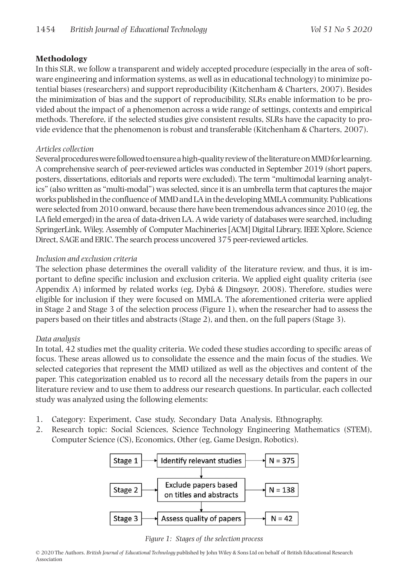#### **Methodology**

 In this SLR, we follow a transparent and widely accepted procedure (especially in the area of software engineering and information systems, as well as in educational technology) to minimize potential biases (researchers) and support reproducibility (Kitchenham & Charters, 2007 ). Besides the minimization of bias and the support of reproducibility, SLRs enable information to be provided about the impact of a phenomenon across a wide range of settings, contexts and empirical methods. Therefore, if the selected studies give consistent results, SLRs have the capacity to provide evidence that the phenomenon is robust and transferable (Kitchenham & Charters, 2007 ).

#### *Articles collection*

 Several procedures were followed to ensure a high-quality review of the literature on MMD for learning. A comprehensive search of peer-reviewed articles was conducted in September 2019 (short papers, posters, dissertations, editorials and reports were excluded). The term "multimodal learning analytics" (also written as "multi-modal") was selected, since it is an umbrella term that captures the major works published in the confluence of MMD and LA in the developing MMLA community. Publications were selected from 2010 onward, because there have been tremendous advances since 2010 (eg, the LA field emerged) in the area of data-driven LA. A wide variety of databases were searched, including SpringerLink, Wiley, Assembly of Computer Machineries [ACM] Digital Library, IEEE Xplore, Science Direct, SAGE and ERIC. The search process uncovered 375 peer-reviewed articles.

#### *Inclusion and exclusion criteria*

 The selection phase determines the overall validity of the literature review, and thus, it is important to define specific inclusion and exclusion criteria. We applied eight quality criteria (see Appendix A) informed by related works (eg, Dybå & Dingsøyr, 2008). Therefore, studies were eligible for inclusion if they were focused on MMLA. The aforementioned criteria were applied in Stage 2 and Stage 3 of the selection process (Figure 1 ), when the researcher had to assess the papers based on their titles and abstracts (Stage 2), and then, on the full papers (Stage 3).

#### *Data analysis*

 In total, 42 studies met the quality criteria. We coded these studies according to specific areas of focus. These areas allowed us to consolidate the essence and the main focus of the studies. We selected categories that represent the MMD utilized as well as the objectives and content of the paper. This categorization enabled us to record all the necessary details from the papers in our literature review and to use them to address our research questions. In particular, each collected study was analyzed using the following elements:

- 1 . Category: Experiment, Case study, Secondary Data Analysis, Ethnography.
- 2 . Research topic: Social Sciences, Science Technology Engineering Mathematics (STEM), Computer Science (CS), Economics, Other (eg, Game Design, Robotics).



Figure 1: Stages of the selection process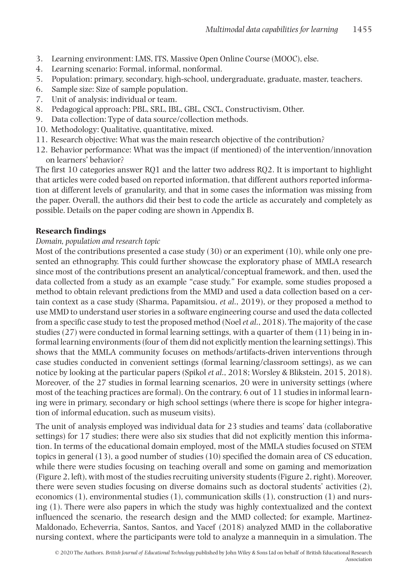- 3 . Learning environment: LMS, ITS, Massive Open Online Course (MOOC), else.
- 4 . Learning scenario: Formal, informal, nonformal.
- 5 . Population: primary, secondary, high-school, undergraduate, graduate, master, teachers.
- 6 . Sample size: Size of sample population.
- 7 . Unit of analysis: individual or team.
- 8 . Pedagogical approach: PBL, SRL, IBL, GBL, CSCL, Constructivism, Other.
- 9. Data collection: Type of data source/collection methods.
- 10. Methodology: Qualitative, quantitative, mixed.
- 11 . Research objective: What was the main research objective of the contribution?
- 12 . Behavior performance: What was the impact (if mentioned) of the intervention/innovation on learners' behavior?

 The first 10 categories answer RQ1 and the latter two address RQ2. It is important to highlight that articles were coded based on reported information, that different authors reported information at different levels of granularity, and that in some cases the information was missing from the paper. Overall, the authors did their best to code the article as accurately and completely as possible. Details on the paper coding are shown in Appendix B.

#### **Research findings**

#### *Domain, population and research topic*

 Most of the contributions presented a case study (30) or an experiment (10), while only one presented an ethnography. This could further showcase the exploratory phase of MMLA research since most of the contributions present an analytical/conceptual framework, and then, used the data collected from a study as an example "case study." For example, some studies proposed a method to obtain relevant predictions from the MMD and used a data collection based on a certain context as a case study (Sharma, Papamitsiou, *et al* ., 2019 ), or they proposed a method to use MMD to understand user stories in a software engineering course and used the data collected from a specific case study to test the proposed method (Noel *et al* ., 2018 ). The majority of the case studies  $(27)$  were conducted in formal learning settings, with a quarter of them  $(11)$  being in informal learning environments (four of them did not explicitly mention the learning settings). This shows that the MMLA community focuses on methods/artifacts-driven interventions through case studies conducted in convenient settings (formal learning/classroom settings), as we can notice by looking at the particular papers (Spikol *et al* ., 2018 ; Worsley & Blikstein, 2015 , 2018 ). Moreover, of the 27 studies in formal learning scenarios, 20 were in university settings (where most of the teaching practices are formal). On the contrary, 6 out of 11 studies in informal learning were in primary, secondary or high school settings (where there is scope for higher integration of informal education, such as museum visits).

 The unit of analysis employed was individual data for 23 studies and teams' data (collaborative settings) for 17 studies; there were also six studies that did not explicitly mention this information. In terms of the educational domain employed, most of the MMLA studies focused on STEM topics in general (13), a good number of studies (10) specified the domain area of CS education, while there were studies focusing on teaching overall and some on gaming and memorization (Figure 2 , left), with most of the studies recruiting university students (Figure 2 , right). Moreover, there were seven studies focusing on diverse domains such as doctoral students' activities (2), economics (1), environmental studies (1), communication skills (1), construction (1) and nursing (1). There were also papers in which the study was highly contextualized and the context influenced the scenario, the research design and the MMD collected; for example, Martinez-Maldonado, Echeverria, Santos, Santos, and Yacef ( 2018 ) analyzed MMD in the collaborative nursing context, where the participants were told to analyze a mannequin in a simulation. The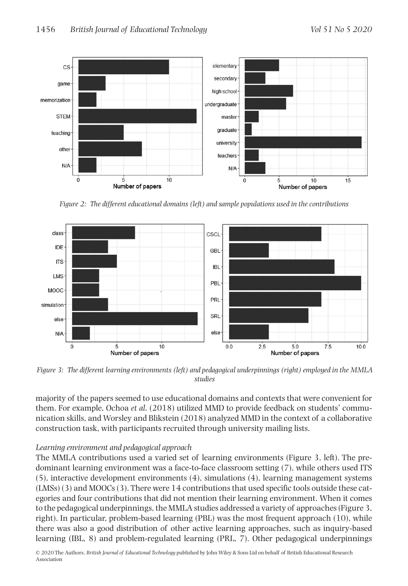

*Figure 2: The different educational domains (left) and sample populations used in the contributions* 



*Figure 3:* The different learning environments (left) and pedagogical underpinnings (right) employed in the MMLA *studies* 

majority of the papers seemed to use educational domains and contexts that were convenient for them. For example, Ochoa *et al* . ( 2018 ) utilized MMD to provide feedback on students' communication skills, and Worsley and Blikstein ( 2018 ) analyzed MMD in the context of a collaborative construction task, with participants recruited through university mailing lists.

#### *Learning environment and pedagogical approach*

The MMLA contributions used a varied set of learning environments (Figure 3, left). The predominant learning environment was a face-to-face classroom setting (7), while others used ITS (5), interactive development environments (4), simulations (4), learning management systems (LMSs) (3) and MOOCs (3). There were 14 contributions that used specific tools outside these categories and four contributions that did not mention their learning environment. When it comes to the pedagogical underpinnings, the MMLA studies addressed a variety of approaches (Figure 3 , right). In particular, problem-based learning (PBL) was the most frequent approach (10), while there was also a good distribution of other active learning approaches, such as inquiry-based learning (IBL, 8) and problem-regulated learning (PRL, 7). Other pedagogical underpinnings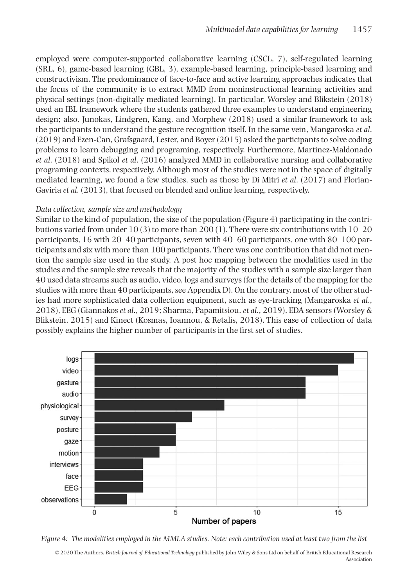employed were computer-supported collaborative learning (CSCL, 7), self-regulated learning (SRL, 6), game-based learning (GBL, 3), example-based learning, principle-based learning and constructivism. The predominance of face-to-face and active learning approaches indicates that the focus of the community is to extract MMD from noninstructional learning activities and physical settings (non-digitally mediated learning). In particular, Worsley and Blikstein ( 2018 ) used an IBL framework where the students gathered three examples to understand engineering design; also, Junokas, Lindgren, Kang, and Morphew (2018) used a similar framework to ask the participants to understand the gesture recognition itself. In the same vein, Mangaroska *et al* . ( 2019 ) and Ezen-Can, Grafsgaard, Lester, and Boyer ( 2015 ) asked the participants to solve coding problems to learn debugging and programing, respectively. Furthermore, Martinez-Maldonado *et al* . ( 2018 ) and Spikol *et al* . ( 2016 ) analyzed MMD in collaborative nursing and collaborative programing contexts, respectively. Although most of the studies were not in the space of digitally mediated learning, we found a few studies, such as those by Di Mitri *et al* . ( 2017 ) and Florian-Gaviria *et al.* (2013), that focused on blended and online learning, respectively.

#### *Data collection, sample size and methodology*

Similar to the kind of population, the size of the population (Figure 4) participating in the contributions varied from under 10 (3) to more than 200 (1). There were six contributions with 10–20 participants, 16 with 20–40 participants, seven with 40–60 participants, one with 80–100 participants and six with more than 100 participants. There was one contribution that did not mention the sample size used in the study. A post hoc mapping between the modalities used in the studies and the sample size reveals that the majority of the studies with a sample size larger than 40 used data streams such as audio, video, logs and surveys (for the details of the mapping for the studies with more than 40 participants, see Appendix D). On the contrary, most of the other studies had more sophisticated data collection equipment, such as eye-tracking (Mangaroska *et al.*, 2018 ), EEG (Giannakos *et al* ., 2019 ; Sharma, Papamitsiou, *et al* ., 2019 ), EDA sensors (Worsley & Blikstein, 2015 ) and Kinect (Kosmas, Ioannou, & Retalis, 2018 ). This ease of collection of data possibly explains the higher number of participants in the first set of studies.



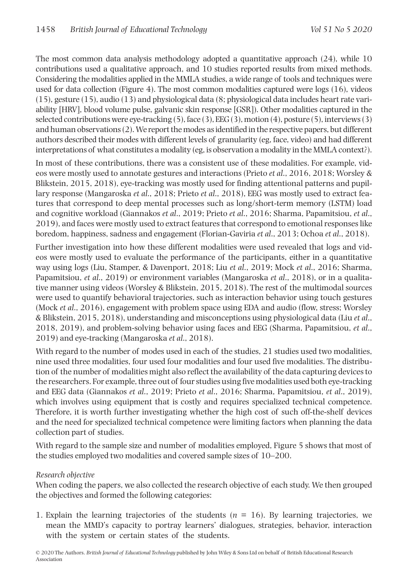The most common data analysis methodology adopted a quantitative approach (24), while 10 contributions used a qualitative approach, and 10 studies reported results from mixed methods. Considering the modalities applied in the MMLA studies, a wide range of tools and techniques were used for data collection (Figure  $4$ ). The most common modalities captured were logs (16), videos (15), gesture (15), audio (13) and physiological data (8; physiological data includes heart rate variability [HRV], blood volume pulse, galvanic skin response [GSR]). Other modalities captured in the selected contributions were eye-tracking (5), face (3), EEG (3), motion (4), posture (5), interviews (3) and human observations (2). We report the modes as identified in the respective papers, but different authors described their modes with different levels of granularity (eg, face, video) and had different interpretations of what constitutes a modality (eg, is observation a modality in the MMLA context?).

 In most of these contributions, there was a consistent use of these modalities. For example, videos were mostly used to annotate gestures and interactions (Prieto *et al* ., 2016 , 2018 ; Worsley & Blikstein, 2015, 2018), eye-tracking was mostly used for finding attentional patterns and pupillary response (Mangaroska *et al.*, 2018; Prieto *et al.*, 2018), EEG was mostly used to extract features that correspond to deep mental processes such as long/short-term memory (LSTM) load and cognitive workload (Giannakos *et al* ., 2019 ; Prieto *et al* ., 2016 ; Sharma, Papamitsiou, *et al* ., 2019 ), and faces were mostly used to extract features that correspond to emotional responses like boredom, happiness, sadness and engagement (Florian-Gaviria *et al* ., 2013 ; Ochoa *et al* ., 2018 ).

 Further investigation into how these different modalities were used revealed that logs and videos were mostly used to evaluate the performance of the participants, either in a quantitative way using logs (Liu, Stamper, & Davenport, 2018; Liu *et al.*, 2019; Mock *et al.*, 2016; Sharma, Papamitsiou, *et al.*, 2019) or environment variables (Mangaroska *et al.*, 2018), or in a qualitative manner using videos (Worsley & Blikstein, 2015 , 2018 ). The rest of the multimodal sources were used to quantify behavioral trajectories, such as interaction behavior using touch gestures (Mock *et al.*, 2016), engagement with problem space using EDA and audio (flow, stress; Worsley & Blikstein, 2015 , 2018 ), understanding and misconceptions using physiological data (Liu *et al* ., 2018 , 2019 ), and problem-solving behavior using faces and EEG (Sharma, Papamitsiou, *et al* ., 2019) and eye-tracking (Mangaroska et al., 2018).

With regard to the number of modes used in each of the studies, 21 studies used two modalities, nine used three modalities, four used four modalities and four used five modalities. The distribution of the number of modalities might also reflect the availability of the data capturing devices to the researchers. For example, three out of four studies using five modalities used both eye-tracking and EEG data (Giannakos *et al* ., 2019 ; Prieto *et al* ., 2016 ; Sharma, Papamitsiou, *et al* ., 2019 ), which involves using equipment that is costly and requires specialized technical competence. Therefore, it is worth further investigating whether the high cost of such off-the-shelf devices and the need for specialized technical competence were limiting factors when planning the data collection part of studies.

 With regard to the sample size and number of modalities employed, Figure 5 shows that most of the studies employed two modalities and covered sample sizes of 10–200.

#### *Research objective*

 When coding the papers, we also collected the research objective of each study. We then grouped the objectives and formed the following categories:

1. Explain the learning trajectories of the students  $(n = 16)$ . By learning trajectories, we mean the MMD's capacity to portray learners' dialogues, strategies, behavior, interaction with the system or certain states of the students.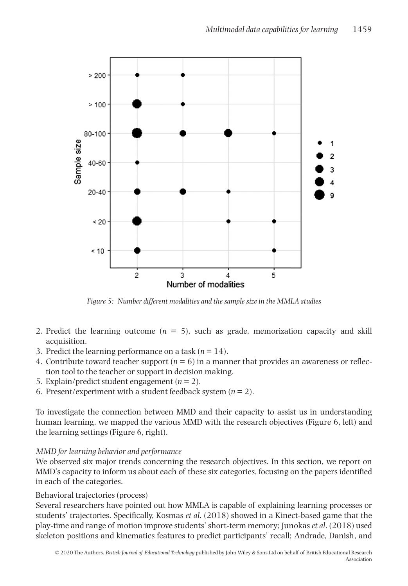

*Figure 5: Number different modalities and the sample size in the MMLA studies* 

- 2. Predict the learning outcome  $(n = 5)$ , such as grade, memorization capacity and skill acquisition.
- 3. Predict the learning performance on a task  $(n = 14)$ .
- 4. Contribute toward teacher support ( $n = 6$ ) in a manner that provides an awareness or reflection tool to the teacher or support in decision making.
- 5. Explain/predict student engagement  $(n = 2)$ .
- 6. Present/experiment with a student feedback system  $(n = 2)$ .

 To investigate the connection between MMD and their capacity to assist us in understanding human learning, we mapped the various MMD with the research objectives (Figure 6, left) and the learning settings (Figure 6, right).

#### *MMD for learning behavior and performance*

 We observed six major trends concerning the research objectives. In this section, we report on MMD's capacity to inform us about each of these six categories, focusing on the papers identified in each of the categories.

#### Behavioral trajectories (process)

 Several researchers have pointed out how MMLA is capable of explaining learning processes or students' trajectories. Specifically, Kosmas *et al* . ( 2018 ) showed in a Kinect-based game that the play-time and range of motion improve students' short-term memory; Junokas *et al* . ( 2018 ) used skeleton positions and kinematics features to predict participants' recall; Andrade, Danish, and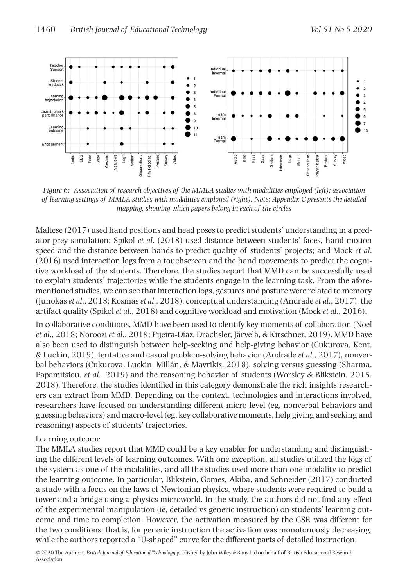

*Figure 6: Association of research objectives of the MMLA studies with modalities employed (left); association of learning settings of MMLA studies with modalities employed (right). Note: Appendix C presents the detailed mapping, showing which papers belong in each of the circles* 

Maltese (2017) used hand positions and head poses to predict students' understanding in a predator-prey simulation; Spikol *et al* . ( 2018 ) used distance between students' faces, hand motion speed and the distance between hands to predict quality of students' projects; and Mock *et al* . ( 2016 ) used interaction logs from a touchscreen and the hand movements to predict the cognitive workload of the students. Therefore, the studies report that MMD can be successfully used to explain students' trajectories while the students engage in the learning task. From the aforementioned studies, we can see that interaction logs, gestures and posture were related to memory (Junokas *et al* ., 2018 ; Kosmas *et al* ., 2018 ), conceptual understanding (Andrade *et al* ., 2017 ), the artifact quality (Spikol *et al* ., 2018 ) and cognitive workload and motivation (Mock *et al* ., 2016 ).

 In collaborative conditions, MMD have been used to identify key moments of collaboration (Noel *et al* ., 2018 ; Noroozi *et al* ., 2019 ; Pijeira-Díaz, Drachsler, Järvelä, & Kirschner, 2019 ). MMD have also been used to distinguish between help-seeking and help-giving behavior (Cukurova, Kent, & Luckin, 2019 ), tentative and casual problem-solving behavior (Andrade *et al* ., 2017 ), nonverbal behaviors (Cukurova, Luckin, Millán, & Mavrikis, 2018 ), solving versus guessing (Sharma, Papamitsiou, *et al.*, 2019) and the reasoning behavior of students (Worsley & Blikstein, 2015, 2018 ). Therefore, the studies identified in this category demonstrate the rich insights researchers can extract from MMD. Depending on the context, technologies and interactions involved, researchers have focused on understanding different micro-level (eg, nonverbal behaviors and guessing behaviors) and macro-level (eg, key collaborative moments, help giving and seeking and reasoning) aspects of students' trajectories.

#### Learning outcome

 The MMLA studies report that MMD could be a key enabler for understanding and distinguishing the different levels of learning outcomes. With one exception, all studies utilized the logs of the system as one of the modalities, and all the studies used more than one modality to predict the learning outcome. In particular, Blikstein, Gomes, Akiba, and Schneider ( 2017 ) conducted a study with a focus on the laws of Newtonian physics, where students were required to build a tower and a bridge using a physics microworld. In the study, the authors did not find any effect of the experimental manipulation (ie, detailed vs generic instruction) on students' learning outcome and time to completion. However, the activation measured by the GSR was different for the two conditions; that is, for generic instruction the activation was monotonously decreasing, while the authors reported a "U-shaped" curve for the different parts of detailed instruction.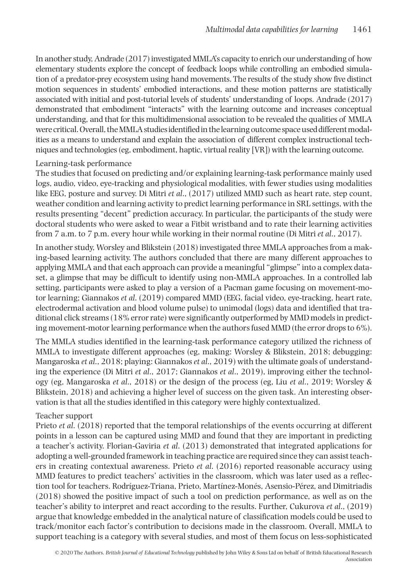In another study, Andrade ( 2017 ) investigated MMLA's capacity to enrich our understanding of how elementary students explore the concept of feedback loops while controlling an embodied simulation of a predator-prey ecosystem using hand movements. The results of the study show five distinct motion sequences in students' embodied interactions, and these motion patterns are statistically associated with initial and post-tutorial levels of students' understanding of loops. Andrade ( 2017 ) demonstrated that embodiment "interacts" with the learning outcome and increases conceptual understanding, and that for this multidimensional association to be revealed the qualities of MMLA were critical. Overall, the MMLA studies identified in the learning outcome space used different modalities as a means to understand and explain the association of different complex instructional techniques and technologies (eg, embodiment, haptic, virtual reality [VR]) with the learning outcome.

#### Learning-task performance

 The studies that focused on predicting and/or explaining learning-task performance mainly used logs, audio, video, eye-tracking and physiological modalities, with fewer studies using modalities like EEG, posture and survey. Di Mitri *et al* ., ( 2017 ) utilized MMD such as heart rate, step count, weather condition and learning activity to predict learning performance in SRL settings, with the results presenting "decent" prediction accuracy. In particular, the participants of the study were doctoral students who were asked to wear a Fitbit wristband and to rate their learning activities from 7 a.m. to 7 p.m. every hour while working in their normal routine (Di Mitri *et al* ., 2017 ).

 In another study, Worsley and Blikstein ( 2018 ) investigated three MMLA approaches from a making-based learning activity. The authors concluded that there are many different approaches to applying MMLA and that each approach can provide a meaningful "glimpse" into a complex dataset, a glimpse that may be difficult to identify using non-MMLA approaches. In a controlled lab setting, participants were asked to play a version of a Pacman game focusing on movement-motor learning; Giannakos *et al* . ( 2019 ) compared MMD (EEG, facial video, eye-tracking, heart rate, electrodermal activation and blood volume pulse) to unimodal (logs) data and identified that traditional click streams (18% error rate) were significantly outperformed by MMD models in predicting movement-motor learning performance when the authors fused MMD (the error drops to 6%).

 The MMLA studies identified in the learning-task performance category utilized the richness of MMLA to investigate different approaches (eg, making: Worsley & Blikstein, 2018 ; debugging: Mangaroska *et al* ., 2018 ; playing: Giannakos *et al* ., 2019 ) with the ultimate goals of understanding the experience (Di Mitri *et al* ., 2017 ; Giannakos *et al* ., 2019 ), improving either the technology (eg, Mangaroska *et al* ., 2018 ) or the design of the process (eg, Liu *et al* ., 2019 ; Worsley & Blikstein, 2018 ) and achieving a higher level of success on the given task. An interesting observation is that all the studies identified in this category were highly contextualized.

#### Teacher support

Prieto *et al.* (2018) reported that the temporal relationships of the events occurring at different points in a lesson can be captured using MMD and found that they are important in predicting a teacher's activity. Florian-Gaviria *et al* . ( 2013 ) demonstrated that integrated applications for adopting a well-grounded framework in teaching practice are required since they can assist teachers in creating contextual awareness. Prieto *et al* . ( 2016 ) reported reasonable accuracy using MMD features to predict teachers' activities in the classroom, which was later used as a reflection tool for teachers. Rodríguez-Triana, Prieto, Martínez-Monés, Asensio-Pérez, and Dimitriadis ( 2018 ) showed the positive impact of such a tool on prediction performance, as well as on the teacher's ability to interpret and react according to the results. Further, Cukurova *et al* ., ( 2019 ) argue that knowledge embedded in the analytical nature of classification models could be used to track/monitor each factor's contribution to decisions made in the classroom. Overall, MMLA to support teaching is a category with several studies, and most of them focus on less-sophisticated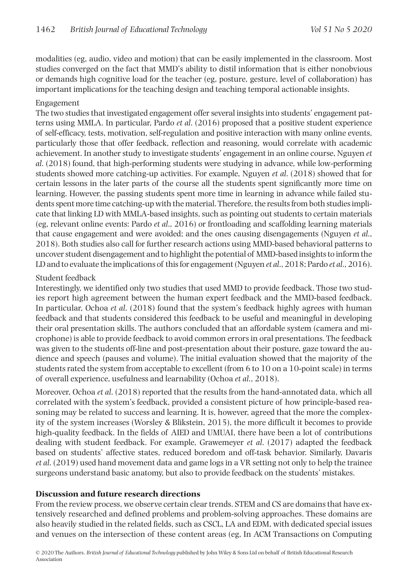modalities (eg, audio, video and motion) that can be easily implemented in the classroom. Most studies converged on the fact that MMD's ability to distil information that is either nonobvious or demands high cognitive load for the teacher (eg, posture, gesture, level of collaboration) has important implications for the teaching design and teaching temporal actionable insights.

#### Engagement

 The two studies that investigated engagement offer several insights into students' engagement patterns using MMLA. In particular, Pardo *et al* . ( 2016 ) proposed that a positive student experience of self-efficacy, tests, motivation, self-regulation and positive interaction with many online events, particularly those that offer feedback, reflection and reasoning, would correlate with academic achievement. In another study to investigate students' engagement in an online course, Nguyen *et al* . ( 2018 ) found, that high-performing students were studying in advance, while low-performing students showed more catching-up activities. For example, Nguyen *et al* . ( 2018 ) showed that for certain lessons in the later parts of the course all the students spent significantly more time on learning. However, the passing students spent more time in learning in advance while failed students spent more time catching-up with the material. Therefore, the results from both studies implicate that linking LD with MMLA-based insights, such as pointing out students to certain materials (eg, relevant online events: Pardo *et al* ., 2016 ) or frontloading and scaffolding learning materials that cause engagement and were avoided; and the ones causing disengagements (Nguyen *et al* ., 2018 ). Both studies also call for further research actions using MMD-based behavioral patterns to uncover student disengagement and to highlight the potential of MMD-based insights to inform the LD and to evaluate the implications of this for engagement (Nguyen *et al* ., 2018 ; Pardo *et al* ., 2016 ).

#### Student feedback

 Interestingly, we identified only two studies that used MMD to provide feedback. Those two studies report high agreement between the human expert feedback and the MMD-based feedback. In particular, Ochoa *et al* . ( 2018 ) found that the system's feedback highly agrees with human feedback and that students considered this feedback to be useful and meaningful in developing their oral presentation skills. The authors concluded that an affordable system (camera and microphone) is able to provide feedback to avoid common errors in oral presentations. The feedback was given to the students off-line and post-presentation about their posture, gaze toward the audience and speech (pauses and volume). The initial evaluation showed that the majority of the students rated the system from acceptable to excellent (from 6 to 10 on a 10-point scale) in terms of overall experience, usefulness and learnability (Ochoa *et al.*, 2018).

 Moreover, Ochoa *et al* . ( 2018 ) reported that the results from the hand-annotated data, which all correlated with the system's feedback, provided a consistent picture of how principle-based reasoning may be related to success and learning. It is, however, agreed that the more the complexity of the system increases (Worsley & Blikstein, 2015 ), the more difficult it becomes to provide high-quality feedback. In the fields of AIED and UMUAI, there have been a lot of contributions dealing with student feedback. For example, Grawemeyer *et al* . ( 2017 ) adapted the feedback based on students' affective states, reduced boredom and off-task behavior. Similarly, Davaris *et al* . ( 2019 ) used hand movement data and game logs in a VR setting not only to help the trainee surgeons understand basic anatomy, but also to provide feedback on the students' mistakes.

#### **Discussion and future research directions**

 From the review process, we observe certain clear trends. STEM and CS are domains that have extensively researched and defined problems and problem-solving approaches. These domains are also heavily studied in the related fields, such as CSCL, LA and EDM, with dedicated special issues and venues on the intersection of these content areas (eg, In ACM Transactions on Computing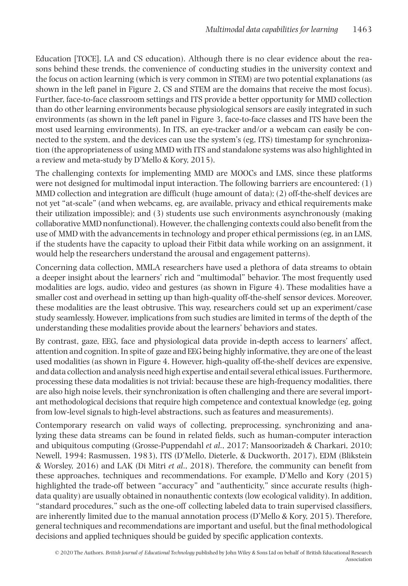Education [TOCE], LA and CS education). Although there is no clear evidence about the reasons behind these trends, the convenience of conducting studies in the university context and the focus on action learning (which is very common in STEM) are two potential explanations (as shown in the left panel in Figure 2, CS and STEM are the domains that receive the most focus). Further, face-to-face classroom settings and ITS provide a better opportunity for MMD collection than do other learning environments because physiological sensors are easily integrated in such environments (as shown in the left panel in Figure 3 , face-to-face classes and ITS have been the most used learning environments). In ITS, an eye-tracker and/or a webcam can easily be connected to the system, and the devices can use the system's (eg, ITS) timestamp for synchronization (the appropriateness of using MMD with ITS and standalone systems was also highlighted in a review and meta-study by D'Mello & Kory, 2015 ).

 The challenging contexts for implementing MMD are MOOCs and LMS, since these platforms were not designed for multimodal input interaction. The following barriers are encountered: (1) MMD collection and integration are difficult (huge amount of data); (2) off-the-shelf devices are not yet "at-scale" (and when webcams, eg, are available, privacy and ethical requirements make their utilization impossible); and (3) students use such environments asynchronously (making collaborative MMD nonfunctional). However, the challenging contexts could also benefit from the use of MMD with the advancements in technology and proper ethical permissions (eg, in an LMS, if the students have the capacity to upload their Fitbit data while working on an assignment, it would help the researchers understand the arousal and engagement patterns).

 Concerning data collection, MMLA researchers have used a plethora of data streams to obtain a deeper insight about the learners' rich and "multimodal" behavior. The most frequently used modalities are logs, audio, video and gestures (as shown in Figure 4 ). These modalities have a smaller cost and overhead in setting up than high-quality off-the-shelf sensor devices. Moreover, these modalities are the least obtrusive. This way, researchers could set up an experiment/case study seamlessly. However, implications from such studies are limited in terms of the depth of the understanding these modalities provide about the learners' behaviors and states.

 By contrast, gaze, EEG, face and physiological data provide in-depth access to learners' affect, attention and cognition. In spite of gaze and EEG being highly informative, they are one of the least used modalities (as shown in Figure 4 . However, high-quality off-the-shelf devices are expensive, and data collection and analysis need high expertise and entail several ethical issues. Furthermore, processing these data modalities is not trivial: because these are high-frequency modalities, there are also high noise levels, their synchronization is often challenging and there are several important methodological decisions that require high competence and contextual knowledge (eg, going from low-level signals to high-level abstractions, such as features and measurements).

 Contemporary research on valid ways of collecting, preprocessing, synchronizing and analyzing these data streams can be found in related fields, such as human-computer interaction and ubiquitous computing (Grosse-Puppendahl *et al.*, 2017; Mansoorizadeh & Charkari, 2010; Newell, 1994; Rasmussen, 1983), ITS (D'Mello, Dieterle, & Duckworth, 2017), EDM (Blikstein & Worsley, 2016 ) and LAK (Di Mitri *et al* ., 2018 ). Therefore, the community can benefit from these approaches, techniques and recommendations. For example, D'Mello and Kory ( 2015 ) highlighted the trade-off between "accuracy" and "authenticity," since accurate results (highdata quality) are usually obtained in nonauthentic contexts (low ecological validity). In addition, "standard procedures," such as the one-off collecting labeled data to train supervised classifiers, are inherently limited due to the manual annotation process (D'Mello & Kory, 2015 ). Therefore, general techniques and recommendations are important and useful, but the final methodological decisions and applied techniques should be guided by specific application contexts.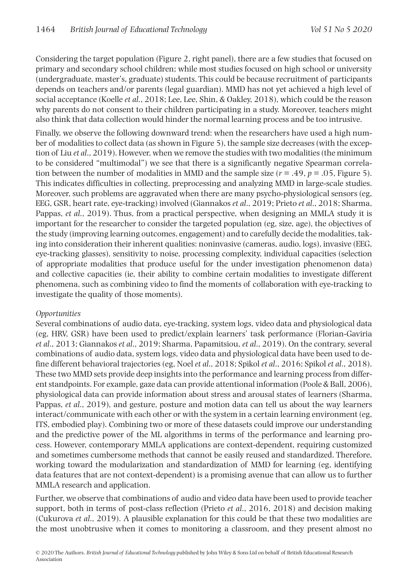Considering the target population (Figure 2, right panel), there are a few studies that focused on primary and secondary school children; while most studies focused on high school or university (undergraduate, master's, graduate) students. This could be because recruitment of participants depends on teachers and/or parents (legal guardian). MMD has not yet achieved a high level of social acceptance (Koelle *et al* ., 2018 ; Lee, Lee, Shin, & Oakley, 2018 ), which could be the reason why parents do not consent to their children participating in a study. Moreover, teachers might also think that data collection would hinder the normal learning process and be too intrusive.

 Finally, we observe the following downward trend: when the researchers have used a high number of modalities to collect data (as shown in Figure 5 ), the sample size decreases (with the exception of Liu *et al.*, 2019). However, when we remove the studies with two modalities (the minimum to be considered "multimodal") we see that there is a significantly negative Spearman correlation between the number of modalities in MMD and the sample size  $(r = .49, p = .05$ . Figure 5). This indicates difficulties in collecting, preprocessing and analyzing MMD in large-scale studies. Moreover, such problems are aggravated when there are many psycho-physiological sensors (eg, EEG, GSR, heart rate, eye-tracking) involved (Giannakos *et al* ., 2019 ; Prieto *et al* ., 2018 ; Sharma, Pappas, *et al.*, 2019). Thus, from a practical perspective, when designing an MMLA study it is important for the researcher to consider the targeted population (eg, size, age), the objectives of the study (improving learning outcomes, engagement) and to carefully decide the modalities, taking into consideration their inherent qualities: noninvasive (cameras, audio, logs), invasive (EEG, eye-tracking glasses), sensitivity to noise, processing complexity, individual capacities (selection of appropriate modalities that produce useful for the under investigation phenomenon data) and collective capacities (ie, their ability to combine certain modalities to investigate different phenomena, such as combining video to find the moments of collaboration with eye-tracking to investigate the quality of those moments).

#### *Opportunities*

 Several combinations of audio data, eye-tracking, system logs, video data and physiological data (eg, HRV, GSR) have been used to predict/explain learners' task performance (Florian-Gaviria *et al* ., 2013 ; Giannakos *et al* ., 2019 ; Sharma, Papamitsiou, *et al* ., 2019 ). On the contrary, several combinations of audio data, system logs, video data and physiological data have been used to define different behavioral trajectories (eg, Noel *et al* ., 2018 ; Spikol *et al* ., 2016 ; Spikol *et al* ., 2018 ). These two MMD sets provide deep insights into the performance and learning process from different standpoints. For example, gaze data can provide attentional information (Poole & Ball, 2006 ), physiological data can provide information about stress and arousal states of learners (Sharma, Pappas, *et al.*, 2019), and gesture, posture and motion data can tell us about the way learners interact/communicate with each other or with the system in a certain learning environment (eg, ITS, embodied play). Combining two or more of these datasets could improve our understanding and the predictive power of the ML algorithms in terms of the performance and learning process. However, contemporary MMLA applications are context-dependent, requiring customized and sometimes cumbersome methods that cannot be easily reused and standardized. Therefore, working toward the modularization and standardization of MMD for learning (eg, identifying data features that are not context-dependent) is a promising avenue that can allow us to further MMLA research and application.

 Further, we observe that combinations of audio and video data have been used to provide teacher support, both in terms of post-class reflection (Prieto *et al.*, 2016, 2018) and decision making (Cukurova *et al* ., 2019 ). A plausible explanation for this could be that these two modalities are the most unobtrusive when it comes to monitoring a classroom, and they present almost no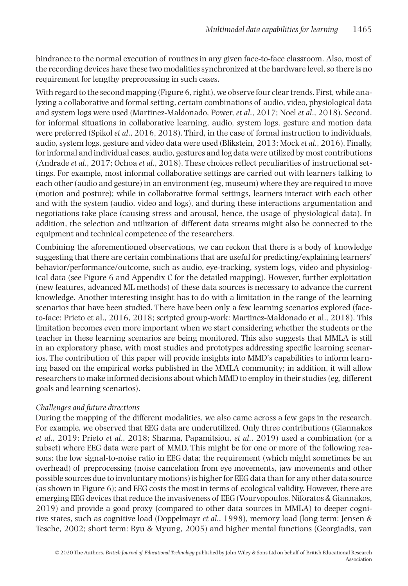hindrance to the normal execution of routines in any given face-to-face classroom. Also, most of the recording devices have these two modalities synchronized at the hardware level, so there is no requirement for lengthy preprocessing in such cases.

With regard to the second mapping (Figure 6, right), we observe four clear trends. First, while analyzing a collaborative and formal setting, certain combinations of audio, video, physiological data and system logs were used (Martinez-Maldonado, Power, *et al.*, 2017; Noel *et al.*, 2018). Second, for informal situations in collaborative learning, audio, system logs, gesture and motion data were preferred (Spikol *et al* ., 2016 , 2018 ). Third, in the case of formal instruction to individuals, audio, system logs, gesture and video data were used (Blikstein, 2013 ; Mock *et al* ., 2016 ). Finally, for informal and individual cases, audio, gestures and log data were utilized by most contributions (Andrade *et al* ., 2017 ; Ochoa *et al* ., 2018 ). These choices reflect peculiarities of instructional settings. For example, most informal collaborative settings are carried out with learners talking to each other (audio and gesture) in an environment (eg, museum) where they are required to move (motion and posture); while in collaborative formal settings, learners interact with each other and with the system (audio, video and logs), and during these interactions argumentation and negotiations take place (causing stress and arousal, hence, the usage of physiological data). In addition, the selection and utilization of different data streams might also be connected to the equipment and technical competence of the researchers.

 Combining the aforementioned observations, we can reckon that there is a body of knowledge suggesting that there are certain combinations that are useful for predicting/explaining learners' behavior/performance/outcome, such as audio, eye-tracking, system logs, video and physiological data (see Figure 6 and Appendix C for the detailed mapping). However, further exploitation (new features, advanced ML methods) of these data sources is necessary to advance the current knowledge. Another interesting insight has to do with a limitation in the range of the learning scenarios that have been studied. There have been only a few learning scenarios explored (faceto-face: Prieto et al., 2016 , 2018 ; scripted group-work: Martinez-Maldonado et al., 2018 ). This limitation becomes even more important when we start considering whether the students or the teacher in these learning scenarios are being monitored. This also suggests that MMLA is still in an exploratory phase, with most studies and prototypes addressing specific learning scenarios. The contribution of this paper will provide insights into MMD's capabilities to inform learning based on the empirical works published in the MMLA community; in addition, it will allow researchers to make informed decisions about which MMD to employ in their studies (eg, different goals and learning scenarios).

#### *Challenges and future directions*

 During the mapping of the different modalities, we also came across a few gaps in the research. For example, we observed that EEG data are underutilized. Only three contributions (Giannakos *et al* ., 2019 ; Prieto *et al* ., 2018 ; Sharma, Papamitsiou, *et al* ., 2019 ) used a combination (or a subset) where EEG data were part of MMD. This might be for one or more of the following reasons: the low signal-to-noise ratio in EEG data; the requirement (which might sometimes be an overhead) of preprocessing (noise cancelation from eye movements, jaw movements and other possible sources due to involuntary motions) is higher for EEG data than for any other data source (as shown in Figure 6); and EEG costs the most in terms of ecological validity. However, there are emerging EEG devices that reduce the invasiveness of EEG (Vourvopoulos, Niforatos & Giannakos, 2019 ) and provide a good proxy (compared to other data sources in MMLA) to deeper cognitive states, such as cognitive load (Doppelmayr *et al.*, 1998), memory load (long term: Jensen & Tesche, 2002 ; short term: Ryu & Myung, 2005 ) and higher mental functions (Georgiadis, van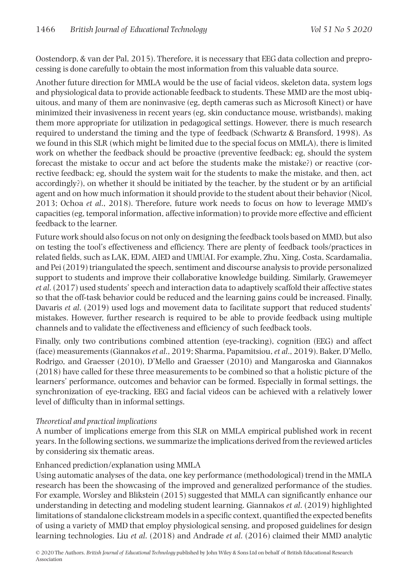Oostendorp, & van der Pal, 2015 ). Therefore, it is necessary that EEG data collection and preprocessing is done carefully to obtain the most information from this valuable data source.

 Another future direction for MMLA would be the use of facial videos, skeleton data, system logs and physiological data to provide actionable feedback to students. These MMD are the most ubiquitous, and many of them are noninvasive (eg, depth cameras such as Microsoft Kinect) or have minimized their invasiveness in recent years (eg, skin conductance mouse, wristbands), making them more appropriate for utilization in pedagogical settings. However, there is much research required to understand the timing and the type of feedback (Schwartz & Bransford, 1998 ). As we found in this SLR (which might be limited due to the special focus on MMLA), there is limited work on whether the feedback should be proactive (preventive feedback; eg, should the system forecast the mistake to occur and act before the students make the mistake?) or reactive (corrective feedback; eg, should the system wait for the students to make the mistake, and then, act accordingly?), on whether it should be initiated by the teacher, by the student or by an artificial agent and on how much information it should provide to the student about their behavior (Nicol, 2013; Ochoa *et al.*, 2018). Therefore, future work needs to focus on how to leverage MMD's capacities (eg, temporal information, affective information) to provide more effective and efficient feedback to the learner.

 Future work should also focus on not only on designing the feedback tools based on MMD, but also on testing the tool's effectiveness and efficiency. There are plenty of feedback tools/practices in related fields, such as LAK, EDM, AIED and UMUAI. For example, Zhu, Xing, Costa, Scardamalia, and Pei ( 2019 ) triangulated the speech, sentiment and discourse analysis to provide personalized support to students and improve their collaborative knowledge building. Similarly, Grawemeyer *et al* . ( 2017 ) used students' speech and interaction data to adaptively scaffold their affective states so that the off-task behavior could be reduced and the learning gains could be increased. Finally, Davaris *et al.* (2019) used logs and movement data to facilitate support that reduced students' mistakes. However, further research is required to be able to provide feedback using multiple channels and to validate the effectiveness and efficiency of such feedback tools.

 Finally, only two contributions combined attention (eye-tracking), cognition (EEG) and affect (face) measurements (Giannakos *et al* ., 2019 ; Sharma, Papamitsiou, *et al* ., 2019 ). Baker, D'Mello, Rodrigo, and Graesser (2010), D'Mello and Graesser (2010) and Mangaroska and Giannakos ( 2018 ) have called for these three measurements to be combined so that a holistic picture of the learners' performance, outcomes and behavior can be formed. Especially in formal settings, the synchronization of eye-tracking, EEG and facial videos can be achieved with a relatively lower level of difficulty than in informal settings.

#### *Theoretical and practical implications*

 A number of implications emerge from this SLR on MMLA empirical published work in recent years. In the following sections, we summarize the implications derived from the reviewed articles by considering six thematic areas.

#### Enhanced prediction/explanation using MMLA

 Using automatic analyses of the data, one key performance (methodological) trend in the MMLA research has been the showcasing of the improved and generalized performance of the studies. For example, Worsley and Blikstein (2015) suggested that MMLA can significantly enhance our understanding in detecting and modeling student learning. Giannakos *et al* . ( 2019 ) highlighted limitations of standalone clickstream models in a specific context, quantified the expected benefits of using a variety of MMD that employ physiological sensing, and proposed guidelines for design learning technologies. Liu *et al* . ( 2018 ) and Andrade *et al* . ( 2016 ) claimed their MMD analytic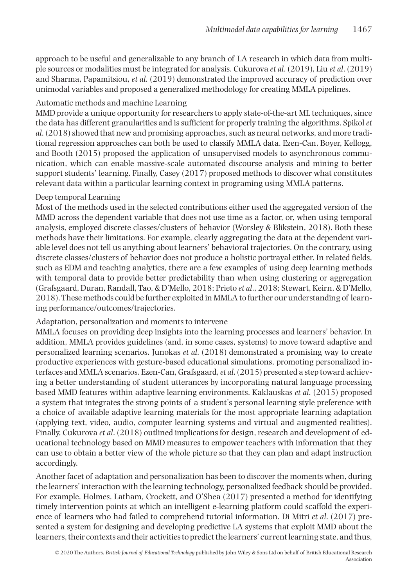approach to be useful and generalizable to any branch of LA research in which data from multiple sources or modalities must be integrated for analysis. Cukurova *et al* . ( 2019 ), Liu *et al* . ( 2019 ) and Sharma, Papamitsiou, *et al* . ( 2019 ) demonstrated the improved accuracy of prediction over unimodal variables and proposed a generalized methodology for creating MMLA pipelines.

#### Automatic methods and machine Learning

 MMD provide a unique opportunity for researchers to apply state-of-the-art ML techniques, since the data has different granularities and is sufficient for properly training the algorithms. Spikol *et al* . ( 2018 ) showed that new and promising approaches, such as neural networks, and more traditional regression approaches can both be used to classify MMLA data. Ezen-Can, Boyer, Kellogg, and Booth (2015) proposed the application of unsupervised models to asynchronous communication, which can enable massive-scale automated discourse analysis and mining to better support students' learning. Finally, Casey (2017) proposed methods to discover what constitutes relevant data within a particular learning context in programing using MMLA patterns.

#### Deep temporal Learning

 Most of the methods used in the selected contributions either used the aggregated version of the MMD across the dependent variable that does not use time as a factor, or, when using temporal analysis, employed discrete classes/clusters of behavior (Worsley & Blikstein, 2018 ). Both these methods have their limitations. For example, clearly aggregating the data at the dependent variable level does not tell us anything about learners' behavioral trajectories. On the contrary, using discrete classes/clusters of behavior does not produce a holistic portrayal either. In related fields, such as EDM and teaching analytics, there are a few examples of using deep learning methods with temporal data to provide better predictability than when using clustering or aggregation (Grafsgaard, Duran, Randall, Tao, & D'Mello, 2018 ; Prieto *et al* ., 2018 ; Stewart, Keirn, & D'Mello, 2018 ). These methods could be further exploited in MMLA to further our understanding of learning performance/outcomes/trajectories.

#### Adaptation, personalization and moments to intervene

 MMLA focuses on providing deep insights into the learning processes and learners' behavior. In addition, MMLA provides guidelines (and, in some cases, systems) to move toward adaptive and personalized learning scenarios. Junokas *et al* . ( 2018 ) demonstrated a promising way to create productive experiences with gesture-based educational simulations, promoting personalized interfaces and MMLA scenarios. Ezen-Can, Grafsgaard, *et al* . ( 2015 ) presented a step toward achieving a better understanding of student utterances by incorporating natural language processing based MMD features within adaptive learning environments. Kaklauskas *et al* . ( 2015 ) proposed a system that integrates the strong points of a student's personal learning style preference with a choice of available adaptive learning materials for the most appropriate learning adaptation (applying text, video, audio, computer learning systems and virtual and augmented realities). Finally, Cukurova *et al* . ( 2018 ) outlined implications for design, research and development of educational technology based on MMD measures to empower teachers with information that they can use to obtain a better view of the whole picture so that they can plan and adapt instruction accordingly.

 Another facet of adaptation and personalization has been to discover the moments when, during the learners' interaction with the learning technology, personalized feedback should be provided. For example, Holmes, Latham, Crockett, and O'Shea (2017) presented a method for identifying timely intervention points at which an intelligent e-learning platform could scaffold the experience of learners who had failed to comprehend tutorial information. Di Mitri *et al* . ( 2017 ) presented a system for designing and developing predictive LA systems that exploit MMD about the learners, their contexts and their activities to predict the learners' current learning state, and thus,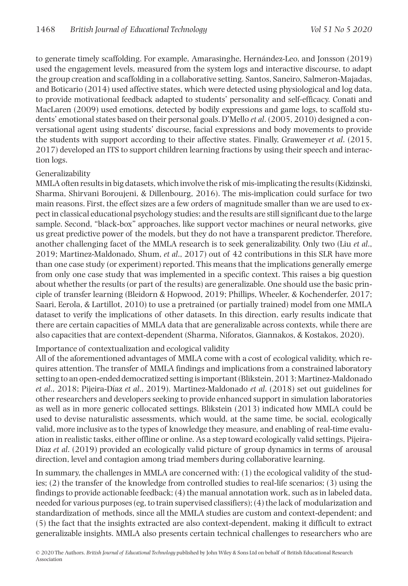to generate timely scaffolding. For example, Amarasinghe, Hernández-Leo, and Jonsson ( 2019 ) used the engagement levels, measured from the system logs and interactive discourse, to adapt the group creation and scaffolding in a collaborative setting. Santos, Saneiro, Salmeron-Majadas, and Boticario (2014) used affective states, which were detected using physiological and log data, to provide motivational feedback adapted to students' personality and self-efficacy. Conati and MacLaren (2009) used emotions, detected by bodily expressions and game logs, to scaffold students' emotional states based on their personal goals. D'Mello *et al* . ( 2005 , 2010 ) designed a conversational agent using students' discourse, facial expressions and body movements to provide the students with support according to their affective states. Finally, Grawemeyer *et al* . ( 2015 , 2017 ) developed an ITS to support children learning fractions by using their speech and interaction logs.

#### Generalizability

 MMLA often results in big datasets, which involve the risk of mis-implicating the results (Kidzinski, Sharma, Shirvani Boroujeni, & Dillenbourg, 2016 ). The mis-implication could surface for two main reasons. First, the effect sizes are a few orders of magnitude smaller than we are used to expect in classical educational psychology studies; and the results are still significant due to the large sample. Second, "black-box" approaches, like support vector machines or neural networks, give us great predictive power of the models, but they do not have a transparent predictor. Therefore, another challenging facet of the MMLA research is to seek generalizability. Only two (Liu *et al* ., 2019 ; Martinez-Maldonado, Shum, *et al* ., 2017 ) out of 42 contributions in this SLR have more than one case study (or experiment) reported. This means that the implications generally emerge from only one case study that was implemented in a specific context. This raises a big question about whether the results (or part of the results) are generalizable. One should use the basic principle of transfer learning (Bleidorn & Hopwood, 2019 ; Phillips, Wheeler, & Kochenderfer, 2017 ; Saari, Eerola, & Lartillot, 2010 ) to use a pretrained (or partially trained) model from one MMLA dataset to verify the implications of other datasets. In this direction, early results indicate that there are certain capacities of MMLA data that are generalizable across contexts, while there are also capacities that are context-dependent (Sharma, Niforatos, Giannakos, & Kostakos, 2020 ).

#### Importance of contextualization and ecological validity

 All of the aforementioned advantages of MMLA come with a cost of ecological validity, which requires attention. The transfer of MMLA findings and implications from a constrained laboratory setting to an open-ended democratized setting is important (Blikstein, 2013 ; Martinez-Maldonado *et al* ., 2018 ; Pijeira-Díaz *et al* ., 2019 ). Martinez-Maldonado *et al* . ( 2018 ) set out guidelines for other researchers and developers seeking to provide enhanced support in simulation laboratories as well as in more generic collocated settings. Blikstein ( 2013 ) indicated how MMLA could be used to devise naturalistic assessments, which would, at the same time, be social, ecologically valid, more inclusive as to the types of knowledge they measure, and enabling of real-time evaluation in realistic tasks, either offline or online. As a step toward ecologically valid settings, Pijeira-Díaz *et al.* (2019) provided an ecologically valid picture of group dynamics in terms of arousal direction, level and contagion among triad members during collaborative learning.

 In summary, the challenges in MMLA are concerned with: (1) the ecological validity of the studies; (2) the transfer of the knowledge from controlled studies to real-life scenarios; (3) using the findings to provide actionable feedback; (4) the manual annotation work, such as in labeled data, needed for various purposes (eg, to train supervised classifiers); (4) the lack of modularization and standardization of methods, since all the MMLA studies are custom and context-dependent; and (5) the fact that the insights extracted are also context-dependent, making it difficult to extract generalizable insights. MMLA also presents certain technical challenges to researchers who are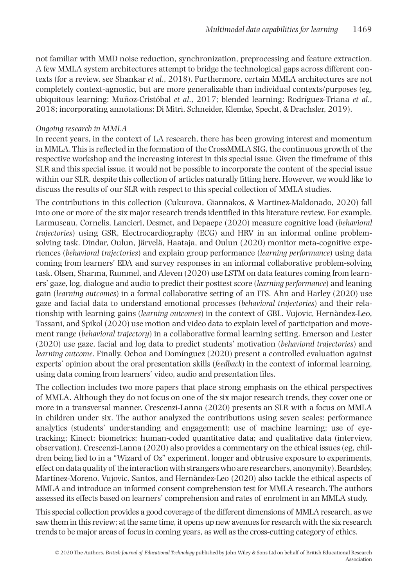not familiar with MMD noise reduction, synchronization, preprocessing and feature extraction. A few MMLA system architectures attempt to bridge the technological gaps across different contexts (for a review, see Shankar *et al* ., 2018 ). Furthermore, certain MMLA architectures are not completely context-agnostic, but are more generalizable than individual contexts/purposes (eg, ubiquitous learning: Muñoz-Cristóbal *et al* ., 2017 ; blended learning: Rodríguez-Triana *et al* ., 2018 ; incorporating annotations: Di Mitri, Schneider, Klemke, Specht, & Drachsler, 2019 ).

#### *Ongoing research in MMLA*

 In recent years, in the context of LA research, there has been growing interest and momentum in MMLA. This is reflected in the formation of the CrossMMLA SIG, the continuous growth of the respective workshop and the increasing interest in this special issue. Given the timeframe of this SLR and this special issue, it would not be possible to incorporate the content of the special issue within our SLR, despite this collection of articles naturally fitting here. However, we would like to discuss the results of our SLR with respect to this special collection of MMLA studies.

 The contributions in this collection (Cukurova, Giannakos, & Martinez-Maldonado, 2020 ) fall into one or more of the six major research trends identified in this literature review. For example, Larmuseau, Cornelis, Lancieri, Desmet, and Depaepe ( 2020 ) measure cognitive load ( *behavioral trajectories* ) using GSR, Electrocardiography (ECG) and HRV in an informal online problemsolving task. Dindar, Oulun, Järvelä, Haataja, and Oulun ( 2020 ) monitor meta-cognitive experiences ( *behavioral trajectories* ) and explain group performance ( *learning performance* ) using data coming from learners' EDA and survey responses in an informal collaborative problem-solving task. Olsen, Sharma, Rummel, and Aleven ( 2020 ) use LSTM on data features coming from learners' gaze, log, dialogue and audio to predict their posttest score ( *learning performance* ) and leaning gain ( *learning outcomes* ) in a formal collaborative setting of an ITS. Ahn and Harley ( 2020 ) use gaze and facial data to understand emotional processes ( *behavioral trajectories* ) and their relationship with learning gains ( *learning outcomes* ) in the context of GBL. Vujovic, Hernàndez-Leo, Tassani, and Spikol ( 2020 ) use motion and video data to explain level of participation and movement range ( *behavioral trajectory* ) in a collaborative formal learning setting. Emerson and Lester ( 2020 ) use gaze, facial and log data to predict students' motivation ( *behavioral trajectories* ) and *learning outcome*. Finally, Ochoa and Domínguez (2020) present a controlled evaluation against experts' opinion about the oral presentation skills ( *feedback* ) in the context of informal learning, using data coming from learners' video, audio and presentation files.

 The collection includes two more papers that place strong emphasis on the ethical perspectives of MMLA. Although they do not focus on one of the six major research trends, they cover one or more in a transversal manner. Crescenzi-Lanna ( 2020 ) presents an SLR with a focus on MMLA in children under six. The author analyzed the contributions using seven scales: performance analytics (students' understanding and engagement); use of machine learning; use of eyetracking; Kinect; biometrics; human-coded quantitative data; and qualitative data (interview, observation). Crescenzi-Lanna ( 2020 ) also provides a commentary on the ethical issues (eg, children being lied to in a "Wizard of Oz" experiment, longer and obtrusive exposure to experiments, effect on data quality of the interaction with strangers who are researchers, anonymity). Beardsley, Martínez-Moreno, Vujovic, Santos, and Hernàndez-Leo ( 2020 ) also tackle the ethical aspects of MMLA and introduce an informed consent comprehension test for MMLA research. The authors assessed its effects based on learners' comprehension and rates of enrolment in an MMLA study.

 This special collection provides a good coverage of the different dimensions of MMLA research, as we saw them in this review; at the same time, it opens up new avenues for research with the six research trends to be major areas of focus in coming years, as well as the cross-cutting category of ethics.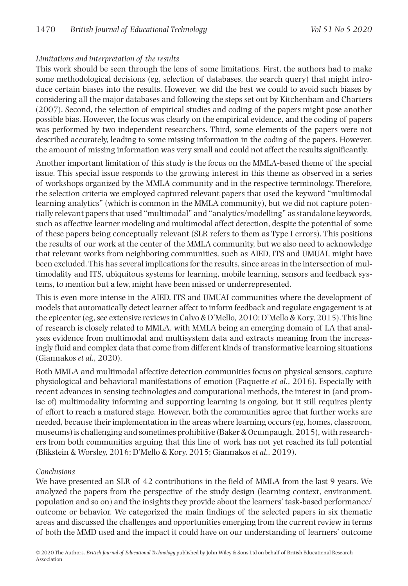#### *Limitations and interpretation of the results*

 This work should be seen through the lens of some limitations. First, the authors had to make some methodological decisions (eg, selection of databases, the search query) that might introduce certain biases into the results. However, we did the best we could to avoid such biases by considering all the major databases and following the steps set out by Kitchenham and Charters ( 2007 ). Second, the selection of empirical studies and coding of the papers might pose another possible bias. However, the focus was clearly on the empirical evidence, and the coding of papers was performed by two independent researchers. Third, some elements of the papers were not described accurately, leading to some missing information in the coding of the papers. However, the amount of missing information was very small and could not affect the results significantly.

 Another important limitation of this study is the focus on the MMLA-based theme of the special issue. This special issue responds to the growing interest in this theme as observed in a series of workshops organized by the MMLA community and in the respective terminology. Therefore, the selection criteria we employed captured relevant papers that used the keyword "multimodal learning analytics" (which is common in the MMLA community), but we did not capture potentially relevant papers that used "multimodal" and "analytics/modelling" as standalone keywords, such as affective learner modeling and multimodal affect detection, despite the potential of some of these papers being conceptually relevant (SLR refers to them as Type I errors). This positions the results of our work at the center of the MMLA community, but we also need to acknowledge that relevant works from neighboring communities, such as AIED, ITS and UMUAI, might have been excluded. This has several implications for the results, since areas in the intersection of multimodality and ITS, ubiquitous systems for learning, mobile learning, sensors and feedback systems, to mention but a few, might have been missed or underrepresented.

 This is even more intense in the AIED, ITS and UMUAI communities where the development of models that automatically detect learner affect to inform feedback and regulate engagement is at the epicenter (eg, see extensive reviews in Calvo & D'Mello, 2010 ; D'Mello & Kory, 2015 ). This line of research is closely related to MMLA, with MMLA being an emerging domain of LA that analyses evidence from multimodal and multisystem data and extracts meaning from the increasingly fluid and complex data that come from different kinds of transformative learning situations (Giannakos *et al* ., 2020 ).

 Both MMLA and multimodal affective detection communities focus on physical sensors, capture physiological and behavioral manifestations of emotion (Paquette *et al* ., 2016 ). Especially with recent advances in sensing technologies and computational methods, the interest in (and promise of) multimodality informing and supporting learning is ongoing, but it still requires plenty of effort to reach a matured stage. However, both the communities agree that further works are needed, because their implementation in the areas where learning occurs (eg, homes, classroom, museums) is challenging and sometimes prohibitive (Baker & Ocumpaugh, 2015 ), with researchers from both communities arguing that this line of work has not yet reached its full potential (Blikstein & Worsley, 2016 ; D'Mello & Kory, 2015 ; Giannakos *et al* ., 2019 ).

#### *Conclusions*

 We have presented an SLR of 42 contributions in the field of MMLA from the last 9 years. We analyzed the papers from the perspective of the study design (learning context, environment, population and so on) and the insights they provide about the learners' task-based performance/ outcome or behavior. We categorized the main findings of the selected papers in six thematic areas and discussed the challenges and opportunities emerging from the current review in terms of both the MMD used and the impact it could have on our understanding of learners' outcome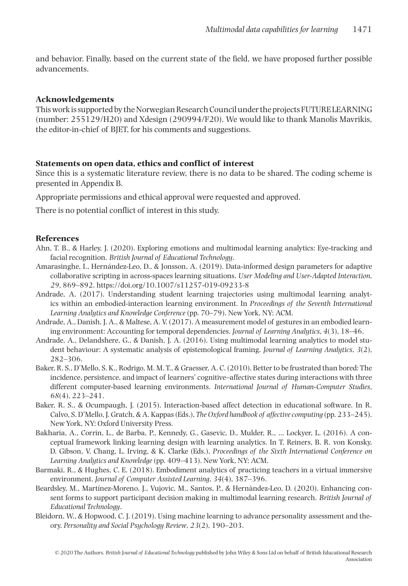and behavior. Finally, based on the current state of the field, we have proposed further possible advancements.

#### **Acknowledgements**

 This work is supported by the Norwegian Research Council under the projects FUTURE LEARNING (number: 255129/H20) and Xdesign (290994/F20). We would like to thank Manolis Mavrikis, the editor-in-chief of BJET, for his comments and suggestions.

#### **Statements on open data, ethics and conflict of interest**

 Since this is a systematic literature review, there is no data to be shared. The coding scheme is presented in Appendix B.

Appropriate permissions and ethical approval were requested and approved.

There is no potential conflict of interest in this study.

#### **References**

- Ahn , T. B. , & Harley , J. ( 2020 ). Exploring emotions and multimodal learning analytics: Eye-tracking and facial recognition. *British Journal of Educational Technology*.
- Amarasinghe, I., Hernández-Leo, D., & Jonsson, A. (2019). Data-informed design parameters for adaptive collaborative scripting in across-spaces learning situations . *User Modeling and User-Adapted Interaction* , 29, 869-892. https://doi.org/10.1007/s11257-019-09233-8
- Andrade, A. (2017). Understanding student learning trajectories using multimodal learning analytics within an embodied-interaction learning environment . In *Proceedings of the Seventh International*  Learning Analytics and Knowledge Conference (pp. 70-79). New York, NY: ACM.
- Andrade, A., Danish, J. A., & Maltese, A. V. (2017). A measurement model of gestures in an embodied learning environment: Accounting for temporal dependencies . *Journal of Learning Analytics* , *4* ( 3 ), 18 – 46 .
- Andrade, A., Delandshere, G., & Danish, J. A. (2016). Using multimodal learning analytics to model student behaviour: A systematic analysis of epistemological framing . *Journal of Learning Analytics* , *3* ( 2 ), 282 – 306.
- Baker, R. S., D'Mello, S. K., Rodrigo, M. M. T., & Graesser, A. C. (2010). Better to be frustrated than bored: The incidence, persistence, and impact of learners' cognitive–affective states during interactions with three different computer-based learning environments. *International Journal of Human-Computer Studies*,  $68(4)$ , 223-241.
- Baker, R. S., & Ocumpaugh, J. (2015). Interaction-based affect detection in educational software. In R. Calvo, S. D'Mello, J. Gratch, & A. Kappas (Eds.), *The Oxford handbook of affective computing* (pp. 233–245). New York, NY: Oxford University Press.
- Bakharia, A., Corrin, L., de Barba, P., Kennedy, G., Gasevic, D., Mulder, R., ... Lockyer, L. (2016). A conceptual framework linking learning design with learning analytics . In T. Reiners , B. R. von Konsky , D. Gibson , V. Chang , L. Irving , & K. Clarke (Eds.), *Proceedings of the Sixth International Conference on*  Learning Analytics and Knowledge (pp. 409-413). New York, NY: ACM.
- Barmaki, R., & Hughes, C. E. (2018). Embodiment analytics of practicing teachers in a virtual immersive environment. *Journal of Computer Assisted Learning*, 34(4), 387-396.
- Beardsley, M., Martínez-Moreno, J., Vujovic, M., Santos, P., & Hernàndez-Leo, D. (2020). Enhancing consent forms to support participant decision making in multimodal learning research . *British Journal of Educational Technology* .
- Bleidorn, W., & Hopwood, C. J. (2019). Using machine learning to advance personality assessment and theory. Personality and Social Psychology Review, 23(2), 190-203.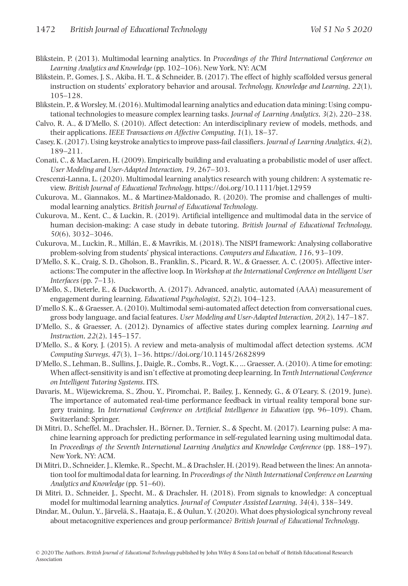- Blikstein, P. (2013). Multimodal learning analytics. In *Proceedings of the Third International Conference on* Learning Analytics and Knowledge (pp. 102-106). New York, NY: ACM
- Blikstein, P., Gomes, J. S., Akiba, H. T., & Schneider, B. (2017). The effect of highly scaffolded versus general instruction on students' exploratory behavior and arousal. *Technology, Knowledge and Learning, 22(1)*,  $105 - 128.$
- Blikstein, P., & Worsley, M. (2016). Multimodal learning analytics and education data mining: Using computational technologies to measure complex learning tasks. *Journal of Learning Analytics*,  $3(2)$ ,  $220-238$ .
- Calvo, R. A., & D'Mello, S. (2010). Affect detection: An interdisciplinary review of models, methods, and their applications . *IEEE Transactions on Affective Computing* , *1* ( 1 ), 18 – 37 .
- Casey , K. ( 2017 ). Using keystroke analytics to improve pass-fail classifiers . *Journal of Learning Analytics* , *4* ( 2 ), 189-211.
- Conati, C., & MacLaren, H. (2009). Empirically building and evaluating a probabilistic model of user affect. *User Modeling and User-Adapted Interaction, 19, 267–303.*
- Crescenzi-Lanna , L. ( 2020 ). Multimodal learning analytics research with young children: A systematic review . *British Journal of Educational Technology* . https://doi.org/10.1111/bjet.12959
- Cukurova , M. , Giannakos , M. , & Martinez-Maldonado , R. ( 2020 ). The promise and challenges of multimodal learning analytics . *British Journal of Educational Technology* .
- Cukurova, M., Kent, C., & Luckin, R. (2019). Artificial intelligence and multimodal data in the service of human decision-making: A case study in debate tutoring. British Journal of Educational Technology, *50* ( 6 ), 3032 – 3046 .
- Cukurova , M. , Luckin , R. , Millán , E. , & Mavrikis , M. ( 2018 ). The NISPI framework: Analysing collaborative problem-solving from students' physical interactions. *Computers and Education*, 116, 93–109.
- D'Mello, S. K., Craig, S. D., Gholson, B., Franklin, S., Picard, R. W., & Graesser, A. C. (2005). Affective interactions: The computer in the affective loop . In *Workshop at the International Conference on Intelligent User Interfaces* (pp. 7-13).
- D'Mello , S. , Dieterle , E. , & Duckworth , A. ( 2017 ). Advanced, analytic, automated (AAA) measurement of engagement during learning. *Educational Psychologist*, 52(2), 104-123.
- D'mello S. K., & Graesser, A. (2010). Multimodal semi-automated affect detection from conversational cues, gross body language, and facial features. *User Modeling and User-Adapted Interaction*,  $20(2)$ ,  $147-187$ .
- D'Mello, S., & Graesser, A. (2012). Dynamics of affective states during complex learning. *Learning and Instruction*, 22(2), 145-157.
- D'Mello, S., & Kory, J. (2015). A review and meta-analysis of multimodal affect detection systems. ACM *Computing Surveys* , *47* ( 3 ), 1 – 36 . https://doi.org/10.1145/2682899
- D'Mello, S., Lehman, B., Sullins, J., Daigle, R., Combs, R., Vogt, K., ... Graesser, A. (2010). A time for emoting: When affect-sensitivity is and isn't effective at promoting deep learning . In *Tenth International Conference on Intelligent Tutoring Systems* . ITS .
- Davaris, M., Wijewickrema, S., Zhou, Y., Piromchai, P., Bailey, J., Kennedy, G., & O'Leary, S. (2019, June). The importance of automated real-time performance feedback in virtual reality temporal bone surgery training. In *International Conference on Artificial Intelligence in Education* (pp. 96–109). Cham, Switzerland: Springer.
- Di Mitri, D., Scheffel, M., Drachsler, H., Börner, D., Ternier, S., & Specht, M. (2017). Learning pulse: A machine learning approach for predicting performance in self-regulated learning using multimodal data . In *Proceedings of the Seventh International Learning Analytics and Knowledge Conference* (pp. 188–197). New York, NY: ACM.
- Di Mitri , D. , Schneider , J. , Klemke , R. , Specht , M. , & Drachsler , H. ( 2019 ). Read between the lines: An annotation tool for multimodal data for learning . In *Proceedings of the Ninth International Conference on Learning Analytics and Knowledge* (pp. 51–60).
- Di Mitri, D., Schneider, J., Specht, M., & Drachsler, H. (2018). From signals to knowledge: A conceptual model for multimodal learning analytics. *Journal of Computer Assisted Learning*, 34(4), 338–349.
- Dindar, M., Qulun, Y., Järvelä, S., Haataja, E., & Qulun, Y. (2020). What does physiological synchrony reveal about metacognitive experiences and group performance? *British Journal of Educational Technology* .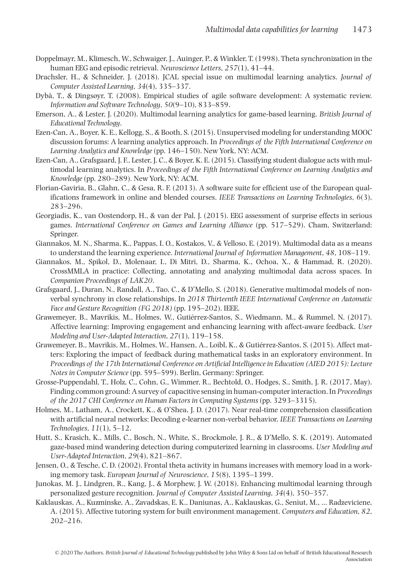- Doppelmayr, M., Klimesch, W., Schwaiger, J., Auinger, P., & Winkler, T. (1998). Theta synchronization in the human EEG and episodic retrieval. *Neuroscience Letters*, 257(1), 41-44.
- Drachsler , H. , & Schneider , J. ( 2018 ). JCAL special issue on multimodal learning analytics . *Journal of Computer Assisted Learning, 34(4), 335–337.*
- Dybå , T. , & Dingsøyr , T. ( 2008 ). Empirical studies of agile software development: A systematic review . *Information and Software Technology* , *50* ( 9–10 ), 833 – 859 .
- Emerson , A. , & Lester , J. ( 2020 ). Multimodal learning analytics for game-based learning . *British Journal of Educational Technology* .
- Ezen-Can, A., Boyer, K. E., Kellogg, S., & Booth, S. (2015). Unsupervised modeling for understanding MOOC discussion forums: A learning analytics approach . In *Proceedings of the Fifth International Conference on*  Learning Analytics and Knowledge (pp. 146-150). New York, NY: ACM.
- Ezen-Can, A., Grafsgaard, J. F., Lester, J. C., & Boyer, K. E. (2015). Classifying student dialogue acts with multimodal learning analytics . In *Proceedings of the Fifth International Conference on Learning Analytics and Knowledge* (pp. 280–289). New York, NY: ACM.
- Florian-Gaviria , B. , Glahn , C. , & Gesa , R. F. ( 2013 ). A software suite for efficient use of the European qualifications framework in online and blended courses . *IEEE Transactions on Learning Technologies* , *6* ( 3 ), 283-296.
- Georgiadis , K. , van Oostendorp , H. , & van der Pal , J. ( 2015 ). EEG assessment of surprise effects in serious games. *International Conference on Games and Learning Alliance* (pp. 517–529). Cham, Switzerland: Springer.
- Giannakos, M. N., Sharma, K., Pappas, I. O., Kostakos, V., & Velloso, E. (2019). Multimodal data as a means to understand the learning experience. *International Journal of Information Management*, 48, 108–119.
- Giannakos, M., Spikol, D., Molenaar, I., Di Mitri, D., Sharma, K., Ochoa, X., & Hammad, R. (2020). CrossMMLA in practice: Collecting, annotating and analyzing multimodal data across spaces . In *Companion Proceedings of LAK20* .
- Grafsgaard, J., Duran, N., Randall, A., Tao, C., & D'Mello, S. (2018). Generative multimodal models of nonverbal synchrony in close relationships . In *2018 Thirteenth IEEE International Conference on Automatic Face and Gesture Recognition (FG 2018)* (pp. 195–202). *IEEE*.
- Grawemeyer, B., Mavrikis, M., Holmes, W., Gutiérrez-Santos, S., Wiedmann, M., & Rummel, N. (2017). Affective learning: Improving engagement and enhancing learning with affect-aware feedback . *User Modeling and User-Adapted Interaction, 27(1), 119–158.*
- Grawemeyer, B., Mavrikis, M., Holmes, W., Hansen, A., Loibl, K., & Gutiérrez-Santos, S. (2015). Affect matters: Exploring the impact of feedback during mathematical tasks in an exploratory environment . In *Proceedings of the 17th International Conference on Artificial Intelligence in Education (AIED 2015): Lecture Notes in Computer Science* (pp. 595–599). Berlin, Germany: Springer.
- Grosse-Puppendahl, T., Holz, C., Cohn, G., Wimmer, R., Bechtold, O., Hodges, S., Smith, J. R. (2017, May). Finding common ground: A survey of capacitive sensing in human-computer interaction . In *Proceedings of the 2017 CHI Conference on Human Factors in Computing Systems* (pp. 3293–3315).
- Holmes, M., Latham, A., Crockett, K., & O'Shea, J. D. (2017). Near real-time comprehension classification with artificial neural networks: Decoding e-learner non-verbal behavior . *IEEE Transactions on Learning Technologies*, 11(1), 5-12.
- Hutt, S., Krasich, K., Mills, C., Bosch, N., White, S., Brockmole, J. R., & D'Mello, S. K. (2019). Automated gaze-based mind wandering detection during computerized learning in classrooms . *User Modeling and User-Adapted Interaction, 29(4), 821-867.*
- Jensen, O., & Tesche, C. D. (2002). Frontal theta activity in humans increases with memory load in a working memory task. *European Journal of Neuroscience*, 15(8), 1395–1399.
- Junokas, M. J., Lindgren, R., Kang, J., & Morphew, J. W. (2018). Enhancing multimodal learning through personalized gesture recognition. *Journal of Computer Assisted Learning*,  $34(4)$ ,  $350-357$ .
- Kaklauskas , A. , Kuzminske , A. , Zavadskas , E. K. , Daniunas , A. , Kaklauskas , G. , Seniut , M. , … Radzeviciene , A. ( 2015 ). Affective tutoring system for built environment management . *Computers and Education* , *82* ,  $202 - 216$ .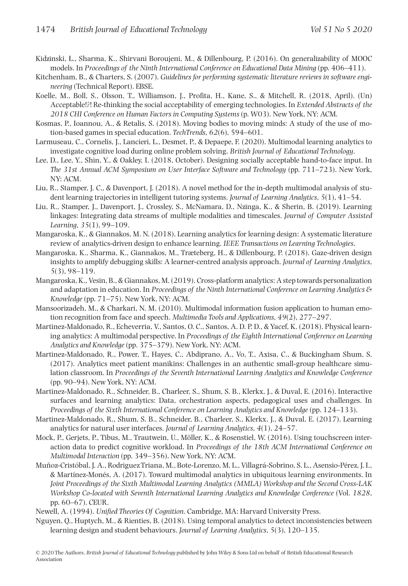- Kidzinski, Ł., Sharma, K., Shirvani Boroujeni, M., & Dillenbourg, P. (2016). On generalizability of MOOC models. In *Proceedings of the Ninth International Conference on Educational Data Mining* (pp. 406–411).
- Kitchenham , B. , & Charters , S. ( 2007 ). *Guidelines for performing systematic literature reviews in software engineering* (Technical Report). EBSE.
- Koelle, M., Boll, S., Olsson, T., Williamson, J., Profita, H., Kane, S., & Mitchell, R. (2018, April). (Un) Acceptable!?! Re-thinking the social acceptability of emerging technologies . In *Extended Abstracts of the 2018 CHI Conference on Human Factors in Computing Systems* (p. W03 ). New York, NY : ACM .
- Kosmas, P., Ioannou, A., & Retalis, S. (2018). Moving bodies to moving minds: A study of the use of motion-based games in special education. *TechTrends*, 62(6), 594–601.
- Larmuseau, C., Cornelis, J., Lancieri, L., Desmet, P., & Depaepe, F. (2020). Multimodal learning analytics to investigate cognitive load during online problem solving . *British Journal of Educational Technology* .
- Lee, D., Lee, Y., Shin, Y., & Oakley, I. (2018, October). Designing socially acceptable hand-to-face input. In *The 31st Annual ACM Symposium on User Interface Software and Technology* (pp. 711–723). New York, NY: ACM.
- Liu, R., Stamper, J. C., & Davenport, J. (2018). A novel method for the in-depth multimodal analysis of student learning trajectories in intelligent tutoring systems. *Journal of Learning Analytics*, 5(1), 41–54.
- Liu, R., Stamper, J., Davenport, J., Crossley, S., McNamara, D., Nzinga, K., & Sherin, B. (2019). Learning linkages: Integrating data streams of multiple modalities and timescales . *Journal of Computer Assisted Learning*, 35(1), 99-109.
- Mangaroska , K. , & Giannakos , M. N. ( 2018 ). Learning analytics for learning design: A systematic literature review of analytics-driven design to enhance learning . *IEEE Transactions on Learning Technologies* .
- Mangaroska, K., Sharma, K., Giannakos, M., Træteberg, H., & Dillenbourg, P. (2018). Gaze-driven design insights to amplify debugging skills: A learner-centred analysis approach . *Journal of Learning Analytics* , *5* ( 3 ), 98 – 119 .
- Mangaroska , K. , Vesin , B. , & Giannakos , M. ( 2019 ). Cross-platform analytics: A step towards personalization and adaptation in education . In *Proceedings of the Ninth International Conference on Learning Analytics & Knowledge* (pp. 71–75). New York, NY: ACM.
- Mansoorizadeh, M., & Charkari, N. M. (2010). Multimodal information fusion application to human emotion recognition from face and speech. *Multimedia Tools and Applications*, 49(2), 277–297.
- Martinez-Maldonado, R., Echeverria, V., Santos, O. C., Santos, A. D. P. D., & Yacef, K. (2018). Physical learning analytics: A multimodal perspective . In *Proceedings of the Eighth International Conference on Learning*  Analytics and Knowledge (pp. 375–379). New York, NY: ACM.
- Martinez-Maldonado, R., Power, T., Hayes, C., Abdiprano, A., Vo, T., Axisa, C., & Buckingham Shum, S. ( 2017 ). Analytics meet patient manikins: Challenges in an authentic small-group healthcare simulation classroom . In *Proceedings of the Seventh International Learning Analytics and Knowledge Conference* (pp. 90–94). New York, NY: ACM.
- Martinez-Maldonado, R., Schneider, B., Charleer, S., Shum, S. B., Klerkx, J., & Duval, E. (2016). Interactive surfaces and learning analytics: Data, orchestration aspects, pedagogical uses and challenges . In *Proceedings of the Sixth International Conference on Learning Analytics and Knowledge* (pp. 124–133).
- Martinez-Maldonado, R., Shum, S. B., Schneider, B., Charleer, S., Klerkx, J., & Duval, E. (2017). Learning analytics for natural user interfaces. *Journal of Learning Analytics*,  $4(1)$ ,  $24-57$ .
- Mock, P., Gerjets, P., Tibus, M., Trautwein, U., Möller, K., & Rosenstiel, W. (2016). Using touchscreen interaction data to predict cognitive workload . In *Proceedings of the 18th ACM International Conference on Multimodal Interaction* (pp. 349–356). New York, NY: ACM.
- Muñoz-Cristóbal, J. A., Rodriguez Triana, M., Bote-Lorenzo, M. L., Villagrá-Sobrino, S. L., Asensio-Pérez, J. I., & Martínez-Monés , A. ( 2017 ). Toward multimodal analytics in ubiquitous learning environments . In *Joint Proceedings of the Sixth Multimodal Learning Analytics (MMLA) Workshop and the Second Cross-LAK Workshop Co-located with Seventh International Learning Analytics and Knowledge Conference* (Vol. *1828* , pp. 60-67). CEUR.

Newell, A. (1994). *Unified Theories Of Cognition*. Cambridge, MA: Harvard University Press.

Nguyen, Q., Huptych, M., & Rienties, B. (2018). Using temporal analytics to detect inconsistencies between learning design and student behaviours. *Journal of Learning Analytics*, 5(3), 120-135.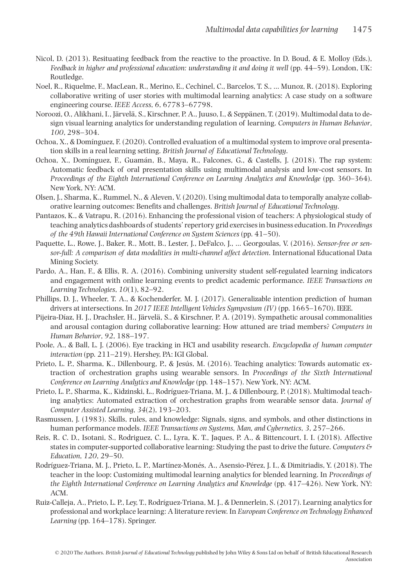- Nicol, D. (2013). Resituating feedback from the reactive to the proactive. In D. Boud, & E. Molloy (Eds.), *Feedback in higher and professional education: understanding it and doing it well* (pp. 44–59). London, UK: Routledge.
- Noel, R., Riquelme, F., MacLean, R., Merino, E., Cechinel, C., Barcelos, T. S., ... Munoz, R. (2018). Exploring collaborative writing of user stories with multimodal learning analytics: A case study on a software engineering course . *IEEE Access* , *6* , 67783 – 67798 .
- Noroozi, O., Alikhani, I., Järvelä, S., Kirschner, P. A., Juuso, I., & Seppänen, T. (2019). Multimodal data to design visual learning analytics for understanding regulation of learning. Computers in Human Behavior, *100*, 298-304.
- Ochoa , X. , & Domínguez , F. ( 2020 ). Controlled evaluation of a multimodal system to improve oral presentation skills in a real learning setting. British Journal of Educational Technology.
- Ochoa, X., Domínguez, F., Guamán, B., Maya, R., Falcones, G., & Castells, J. (2018). The rap system: Automatic feedback of oral presentation skills using multimodal analysis and low-cost sensors . In *Proceedings of the Eighth International Conference on Learning Analytics and Knowledge* (pp. 360–364). New York, NY: ACM.
- Olsen, J., Sharma, K., Rummel, N., & Aleven, V. (2020). Using multimodal data to temporally analyze collaborative learning outcomes: Benefits and challenges . *British Journal of Educational Technology* .
- Pantazos, K., & Vatrapu, R. (2016). Enhancing the professional vision of teachers: A physiological study of teaching analytics dashboards of students' repertory grid exercises in business education . In *Proceedings of the 49th Hawaii International Conference on System Sciences* (pp. 41–50).
- Paquette, L., Rowe, J., Baker, R., Mott, B., Lester, J., DeFalco, J., ... Georgoulas, V. (2016). *Sensor-free or sensor-full: A comparison of data modalities in multi-channel affect detection* . International Educational Data Mining Society.
- Pardo, A., Han, F., & Ellis, R. A. (2016). Combining university student self-regulated learning indicators and engagement with online learning events to predict academic performance . *IEEE Transactions on Learning Technologies*,  $10(1)$ , 82-92.
- Phillips, D. J., Wheeler, T. A., & Kochenderfer, M. J. (2017). Generalizable intention prediction of human drivers at intersections. In 2017 IEEE Intelligent Vehicles Symposium (IV) (pp. 1665–1670). IEEE.
- Pijeira-Díaz, H. J., Drachsler, H., Järvelä, S., & Kirschner, P. A. (2019). Sympathetic arousal commonalities and arousal contagion during collaborative learning: How attuned are triad members? *Computers in Human Behavior* , *92* , 188 – 197 .
- Poole, A., & Ball, L. J. (2006). Eye tracking in HCI and usability research. *Encyclopedia of human computer interaction* (pp. 211–219). Hershey, PA: IGI Global.
- Prieto, L. P., Sharma, K., Dillenbourg, P., & Jesús, M. (2016). Teaching analytics: Towards automatic extraction of orchestration graphs using wearable sensors . In *Proceedings of the Sixth International Conference on Learning Analytics and Knowledge* (pp. 148–157). New York, NY: ACM.
- Prieto, L. P., Sharma, K., Kidzinski, Ł., Rodríguez-Triana, M. J., & Dillenbourg, P. (2018). Multimodal teaching analytics: Automated extraction of orchestration graphs from wearable sensor data . *Journal of Computer Assisted Learning, 34(2), 193–203.*
- Rasmussen , J. ( 1983 ). Skills, rules, and knowledge: Signals, signs, and symbols, and other distinctions in human performance models. *IEEE Transactions on Systems, Man, and Cybernetics*, 3, 257–266.
- Reis, R. C. D., Isotani, S., Rodriguez, C. L., Lyra, K. T., Jaques, P. A., & Bittencourt, I. I. (2018). Affective states in computer-supported collaborative learning: Studying the past to drive the future . *Computers & Education*, 120, 29-50.
- Rodríguez-Triana , M. J. , Prieto , L. P. , Martínez-Monés , A. , Asensio-Pérez , J. I. , & Dimitriadis , Y. ( 2018 ). The teacher in the loop: Customizing multimodal learning analytics for blended learning . In *Proceedings of the Eighth International Conference on Learning Analytics and Knowledge* (pp. 417–426). New York, NY: ACM.
- Ruiz-Calleja, A., Prieto, L. P., Ley, T., Rodríguez-Triana, M. J., & Dennerlein, S. (2017). Learning analytics for professional and workplace learning: A literature review . In *European Conference on Technology Enhanced Learning* (pp. 164–178). Springer.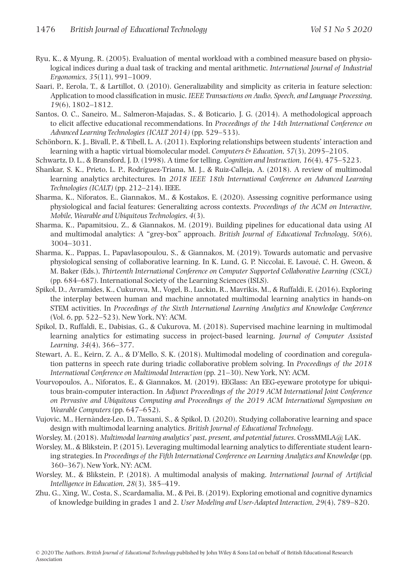- Ryu , K. , & Myung , R. ( 2005 ). Evaluation of mental workload with a combined measure based on physiological indices during a dual task of tracking and mental arithmetic. *International Journal of Industrial Ergonomics* , *35* ( 11 ), 991 – 1009 .
- Saari, P., Eerola, T., & Lartillot, O. (2010). Generalizability and simplicity as criteria in feature selection: Application to mood classification in music . *IEEE Transactions on Audio, Speech, and Language Processing* , *19* (6), 1802–1812.
- Santos, O. C., Saneiro, M., Salmeron-Majadas, S., & Boticario, J. G. (2014). A methodological approach to elicit affective educational recommendations . In *Proceedings of the 14th International Conference on Advanced Learning Technologies (ICALT 2014)* (pp. 529–533).
- Schönborn, K. J., Bivall, P., & Tibell, L. A. (2011). Exploring relationships between students' interaction and learning with a haptic virtual biomolecular model. *Computers & Education*, 57(3), 2095-2105.
- Schwartz , D. L. , & Bransford , J. D. ( 1998 ). A time for telling . *Cognition and Instruction* , *16* ( 4 ), 475 5223 .
- Shankar, S. K., Prieto, L. P., Rodríguez-Triana, M. J., & Ruiz-Calleja, A. (2018). A review of multimodal learning analytics architectures . In *2018 IEEE 18th International Conference on Advanced Learning Technologies (ICALT)* (pp. 212–214). *IEEE.*
- Sharma, K., Niforatos, E., Giannakos, M., & Kostakos, E. (2020). Assessing cognitive performance using physiological and facial features: Generalizing across contexts . *Proceedings of the ACM on Interactive, Mobile, Wearable and Ubiquitous Technologies* , *4* ( 3 ).
- Sharma, K., Papamitsiou, Z., & Giannakos, M. (2019). Building pipelines for educational data using AI and multimodal analytics: A "grey-box" approach. *British Journal of Educational Technology*, 50(6), 3004 – 3031.
- Sharma, K., Pappas, I., Papavlasopoulou, S., & Giannakos, M. (2019). Towards automatic and pervasive physiological sensing of collaborative learning. In K. Lund, G. P. Niccolai, E. Lavoué, C. H. Gweon, & M. Baker (Eds.), *Thirteenth International Conference on Computer Supported Collaborative Learning (CSCL)* (pp. 684-687). International Society of the Learning Sciences (ISLS).
- Spikol, D., Avramides, K., Cukurova, M., Vogel, B., Luckin, R., Mavrikis, M., & Ruffaldi, E. (2016). Exploring the interplay between human and machine annotated multimodal learning analytics in hands-on STEM activities . In *Proceedings of the Sixth International Learning Analytics and Knowledge Conference* (Vol. 6, pp. 522–523). New York, NY: ACM.
- Spikol, D., Ruffaldi, E., Dabisias, G., & Cukurova, M. (2018). Supervised machine learning in multimodal learning analytics for estimating success in project-based learning . *Journal of Computer Assisted Learning*, 34(4), 366–377.
- Stewart, A. E., Keirn, Z. A., & D'Mello, S. K. (2018). Multimodal modeling of coordination and coregulation patterns in speech rate during triadic collaborative problem solving . In *Proceedings of the 2018 International Conference on Multimodal Interaction* (pp. 21–30). New York, NY: ACM.
- Vourvopoulos , A. , Niforatos , E. , & Giannakos , M. ( 2019 ). EEGlass: An EEG-eyeware prototype for ubiquitous brain-computer interaction . In *Adjunct Proceedings of the 2019 ACM International Joint Conference on Pervasive and Ubiquitous Computing and Proceedings of the 2019 ACM International Symposium on Wearable Computers* (pp. 647–652).
- Vujovic , M. , Hernàndez-Leo , D. , Tassani , S. , & Spikol , D. ( 2020 ). Studying collaborative learning and space design with multimodal learning analytics . *British Journal of Educational Technology* .
- Worsley , M. ( 2018 ). *Multimodal learning analytics' past, present, and potential futures* . CrossMMLA@ LAK .
- Worsley, M., & Blikstein, P. (2015). Leveraging multimodal learning analytics to differentiate student learning strategies . In *Proceedings of the Fifth International Conference on Learning Analytics and Knowledge* (pp. 360-367). New York, NY: ACM.
- Worsley , M. , & Blikstein , P. ( 2018 ). A multimodal analysis of making . *International Journal of Artificial Intelligence in Education, 28(3), 385-419.*
- Zhu, G., Xing, W., Costa, S., Scardamalia, M., & Pei, B. (2019). Exploring emotional and cognitive dynamics of knowledge building in grades 1 and 2 . *User Modeling and User-Adapted Interaction* , *29* ( 4 ), 789 –8 20 .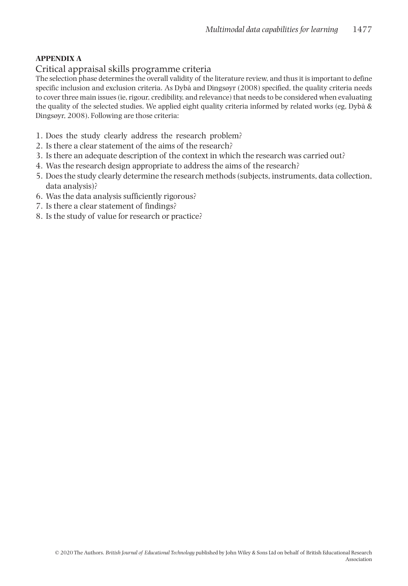### **APPENDIX A**

### Critical appraisal skills programme criteria

 The selection phase determines the overall validity of the literature review, and thus it is important to define specific inclusion and exclusion criteria. As Dybå and Dingsøyr (2008) specified, the quality criteria needs to cover three main issues (ie, rigour, credibility, and relevance) that needs to be considered when evaluating the quality of the selected studies. We applied eight quality criteria informed by related works (eg, Dybå & Dingsøyr, 2008). Following are those criteria:

- 1 . Does the study clearly address the research problem?
- 2 . Is there a clear statement of the aims of the research?
- 3 . Is there an adequate description of the context in which the research was carried out?
- 4 . Was the research design appropriate to address the aims of the research?
- 5 . Does the study clearly determine the research methods (subjects, instruments, data collection, data analysis)?
- 6 . Was the data analysis sufficiently rigorous?
- 7 . Is there a clear statement of findings?
- 8 . Is the study of value for research or practice?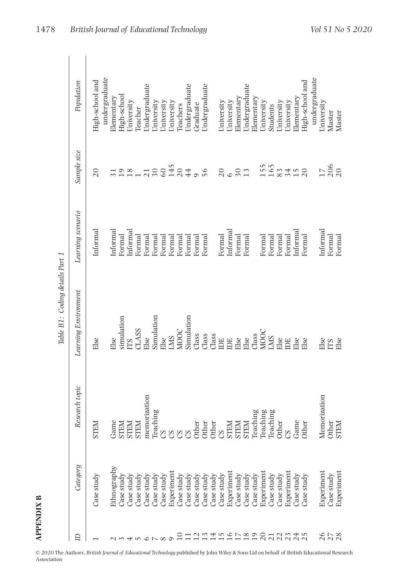|                 | <b>APPENDIX B</b>                                                                          |                                                                                                                                                                                                                                                                                                                                                                                                                                                                           |                                 |                    |                 |                             |  |
|-----------------|--------------------------------------------------------------------------------------------|---------------------------------------------------------------------------------------------------------------------------------------------------------------------------------------------------------------------------------------------------------------------------------------------------------------------------------------------------------------------------------------------------------------------------------------------------------------------------|---------------------------------|--------------------|-----------------|-----------------------------|--|
|                 |                                                                                            |                                                                                                                                                                                                                                                                                                                                                                                                                                                                           | Table B1: Coding details Part 1 |                    |                 |                             |  |
| $\Box$          | Category                                                                                   | Research topic                                                                                                                                                                                                                                                                                                                                                                                                                                                            | Learning Environment            | Learning scenario  | Sample size     | Population                  |  |
|                 | Case study                                                                                 | EМ<br>51                                                                                                                                                                                                                                                                                                                                                                                                                                                                  | Else                            | Informal           | $\overline{20}$ | High-school and             |  |
|                 | Rthnography                                                                                |                                                                                                                                                                                                                                                                                                                                                                                                                                                                           | Else                            | Informal           |                 | undergraduate<br>Elementary |  |
|                 |                                                                                            |                                                                                                                                                                                                                                                                                                                                                                                                                                                                           |                                 |                    | $\overline{19}$ |                             |  |
|                 | Case study                                                                                 |                                                                                                                                                                                                                                                                                                                                                                                                                                                                           | simulation                      | Formal             |                 | High-school                 |  |
|                 | $\c{.}$ ase study<br>$\mathop{{\rm case}}\nolimits$ study                                  | $\begin{array}{c} \text{Game} \\ \text{STEM} \\ \text{STEM} \\ \text{STEM} \\ \end{array}$                                                                                                                                                                                                                                                                                                                                                                                | CLASS<br>EE                     | Informal<br>Formal | 18              | University<br>Teacher       |  |
|                 | Case study                                                                                 | memorization                                                                                                                                                                                                                                                                                                                                                                                                                                                              | Else                            | Formal             | $\overline{21}$ | Undergraduate               |  |
|                 | Case study                                                                                 |                                                                                                                                                                                                                                                                                                                                                                                                                                                                           | Simulation                      | Forma              | 30              | University                  |  |
| $\infty$        | Case study                                                                                 |                                                                                                                                                                                                                                                                                                                                                                                                                                                                           | Else                            | Formal             | 60              | University                  |  |
| $\sigma$        | Experiment                                                                                 |                                                                                                                                                                                                                                                                                                                                                                                                                                                                           | <b>SIVLI</b>                    | Formal             | 145             | University                  |  |
| $\Xi$           | Case study                                                                                 |                                                                                                                                                                                                                                                                                                                                                                                                                                                                           | MOOC                            | Formal             | 20              | Teachers                    |  |
|                 | Case study                                                                                 | $[2.8ex] \begin{tabular}{l} \hline\\[-1.8ex] {\bf R} & {\bf R} \\ {\bf R} & {\bf R} \\ {\bf R} & {\bf R} \\ {\bf R} & {\bf R} \\ {\bf R} & {\bf R} \\ {\bf R} & {\bf R} \\ {\bf R} & {\bf R} \\ {\bf R} & {\bf R} \\ {\bf R} & {\bf R} \\ {\bf R} & {\bf R} \\ {\bf R} & {\bf R} \\ {\bf R} & {\bf R} \\ {\bf R} & {\bf R} \\ {\bf R} & {\bf R} \\ {\bf R} & {\bf R} \\ {\bf R} & {\bf R} \\ {\bf R} & {\bf R} \\ {\bf R} & {\bf R} \\ {\bf R} & {\bf R} \\ {\bf R} & {\$ | Simulation                      | Forma              | 44              | Undergraduate               |  |
|                 | Case study                                                                                 |                                                                                                                                                                                                                                                                                                                                                                                                                                                                           | Class                           | Formal             | $\sigma$        | Graduate                    |  |
|                 | Case study                                                                                 |                                                                                                                                                                                                                                                                                                                                                                                                                                                                           | Class                           | Formal             | 56              | Undergraduate               |  |
|                 |                                                                                            |                                                                                                                                                                                                                                                                                                                                                                                                                                                                           | Class                           |                    |                 |                             |  |
| 211122222222222 | $\begin{array}{c} \text{Case study}\\ \text{Case study}\\ \text{Experiment} \end{array}$   |                                                                                                                                                                                                                                                                                                                                                                                                                                                                           | Ë                               | Formal             | $\overline{c}$  | University                  |  |
|                 |                                                                                            |                                                                                                                                                                                                                                                                                                                                                                                                                                                                           | DE                              | Informal           | $\circ$         | Jniversity                  |  |
|                 |                                                                                            |                                                                                                                                                                                                                                                                                                                                                                                                                                                                           | Else                            | Formal             | 30              | Elementary                  |  |
|                 | $\begin{array}{c} \text{Case study} \\ \text{Case study} \\ \text{Case study} \end{array}$ |                                                                                                                                                                                                                                                                                                                                                                                                                                                                           | Else                            | Formal             |                 | <b>Indergraduate</b>        |  |
|                 |                                                                                            |                                                                                                                                                                                                                                                                                                                                                                                                                                                                           | Class                           |                    |                 | Elementary                  |  |
|                 | Experiment                                                                                 |                                                                                                                                                                                                                                                                                                                                                                                                                                                                           | MOOC                            | Formal             | 155             | University                  |  |
|                 | Case study                                                                                 |                                                                                                                                                                                                                                                                                                                                                                                                                                                                           | <b>LMS</b>                      | Formal             | 165             | Students                    |  |
|                 | Case study                                                                                 |                                                                                                                                                                                                                                                                                                                                                                                                                                                                           | Else                            | Formal             | 83              | University                  |  |
|                 | Experiment                                                                                 |                                                                                                                                                                                                                                                                                                                                                                                                                                                                           | ШE                              | Formal             | 34              | University                  |  |
|                 | Case study                                                                                 |                                                                                                                                                                                                                                                                                                                                                                                                                                                                           | Else                            | Informal           |                 | Elementary                  |  |
|                 | Case study                                                                                 |                                                                                                                                                                                                                                                                                                                                                                                                                                                                           | Else                            | Formal             | 20              | High-school and             |  |
|                 |                                                                                            |                                                                                                                                                                                                                                                                                                                                                                                                                                                                           |                                 |                    |                 | undergraduate               |  |
| 2678            | Experiment                                                                                 | Memorization                                                                                                                                                                                                                                                                                                                                                                                                                                                              | Else                            | Informal           | $\overline{11}$ | University                  |  |
|                 | Case study                                                                                 | Other<br>STEM                                                                                                                                                                                                                                                                                                                                                                                                                                                             | <b>TTS</b>                      | Formal             | 206<br>20       | Master                      |  |
|                 | Experiment                                                                                 |                                                                                                                                                                                                                                                                                                                                                                                                                                                                           | Else                            | Formal             |                 | Master                      |  |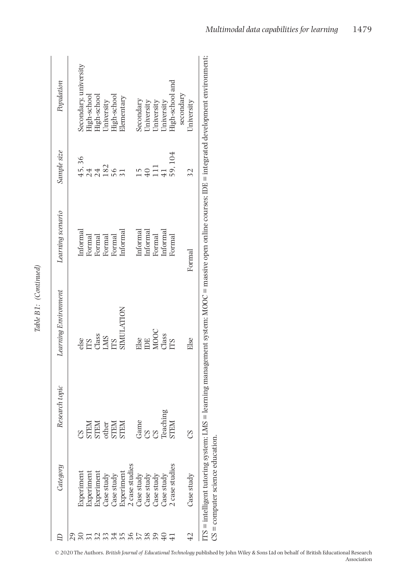|    | Category                           | Research topic        | Learning Environment                                                                                                                               | Learning scenario | Sample size      | Population                |
|----|------------------------------------|-----------------------|----------------------------------------------------------------------------------------------------------------------------------------------------|-------------------|------------------|---------------------------|
|    |                                    |                       |                                                                                                                                                    |                   |                  |                           |
|    | Experiment                         |                       | else                                                                                                                                               | Informal          |                  | Secondary, university     |
|    | Experiment                         | CS<br>STEM<br>STEM    | mЗ                                                                                                                                                 | Formal            | 45,36<br>24      | High-school               |
|    | kaperiment                         |                       | Class                                                                                                                                              | Formal            | 24               |                           |
|    | Jase study                         |                       | <b>LMS</b>                                                                                                                                         | Formal            |                  | High-school<br>University |
|    | Case study                         | other<br>STEM<br>STEM | ПS                                                                                                                                                 | Formal            | $\frac{182}{56}$ | High-school               |
|    | Experiment                         |                       | SIMULATION                                                                                                                                         | Informal          |                  | Elementary                |
|    | case studies                       |                       |                                                                                                                                                    |                   |                  |                           |
|    | Case study                         | Game                  | Else                                                                                                                                               | Informal          |                  | Secondary                 |
|    | Case study                         | S                     | $\overline{D}$                                                                                                                                     | Informal          |                  | University                |
| 39 | Case study                         | S                     | MOOC                                                                                                                                               | Formal            | $\Xi$            | Jniversity                |
| 40 | Case study                         | Teaching<br>STEM      | Class                                                                                                                                              | Informal          |                  | University                |
|    | case studies                       |                       | E                                                                                                                                                  | Formal            | 59,104           | High-school and           |
|    |                                    |                       |                                                                                                                                                    |                   |                  | secondary                 |
|    | Case study                         | S                     | Else                                                                                                                                               | Formal            |                  | University                |
|    | $CS =$ computer science education. |                       | ITS = intelligent tutoring system; LMS = learning management system; MOOC = massive open online courses; IDE = integrated development environment; |                   |                  |                           |

Table B<sub>1</sub>: (Continued)  *Table B1 : (Continued)*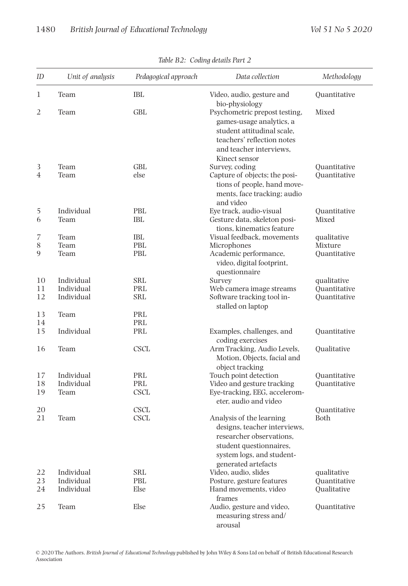| ID             | Unit of analysis   | Pedagogical approach | Data collection                                                                                                                                                                     | Methodology           |
|----------------|--------------------|----------------------|-------------------------------------------------------------------------------------------------------------------------------------------------------------------------------------|-----------------------|
| 1              | Team               | <b>IBL</b>           | Video, audio, gesture and                                                                                                                                                           | Quantitative          |
| $\overline{2}$ | Team               | <b>GBL</b>           | bio-physiology<br>Psychometric prepost testing,<br>games-usage analytics, a<br>student attitudinal scale,<br>teachers' reflection notes<br>and teacher interviews.<br>Kinect sensor | Mixed                 |
| 3              | Team               | GBL                  | Survey, coding                                                                                                                                                                      | Ouantitative          |
| $\overline{4}$ | Team               | else                 | Capture of objects; the posi-<br>tions of people, hand move-<br>ments, face tracking; audio<br>and video                                                                            | Quantitative          |
| 5<br>6         | Individual<br>Team | PBL<br>IBL           | Eye track, audio-visual<br>Gesture data, skeleton posi-                                                                                                                             | Ouantitative<br>Mixed |
| 7              | Team               | <b>IBL</b>           | tions, kinematics feature<br>Visual feedback, movements                                                                                                                             | qualitative           |
| 8              | Team               | PBL                  | Microphones                                                                                                                                                                         | Mixture               |
| 9              | Team               | PBL                  | Academic performance,<br>video, digital footprint,<br>questionnaire                                                                                                                 | Quantitative          |
| 10             | Individual         | <b>SRL</b>           | Survey                                                                                                                                                                              | qualitative           |
| 11             | Individual         | PRL                  | Web camera image streams                                                                                                                                                            | Quantitative          |
| 12             | Individual         | <b>SRL</b>           | Software tracking tool in-<br>stalled on laptop                                                                                                                                     | Ouantitative          |
| 13             | Team               | PRL                  |                                                                                                                                                                                     |                       |
| 14             |                    | PRL                  |                                                                                                                                                                                     |                       |
| 15             | Individual         | PRL                  | Examples, challenges, and<br>coding exercises                                                                                                                                       | Quantitative          |
| 16             | Team               | <b>CSCL</b>          | Arm Tracking, Audio Levels,<br>Motion, Objects, facial and<br>object tracking                                                                                                       | Qualitative           |
| 17             | Individual         | PRL                  | Touch point detection                                                                                                                                                               | Ouantitative          |
| 18             | Individual         | PRL                  | Video and gesture tracking                                                                                                                                                          | Quantitative          |
| 19             | Team               | <b>CSCL</b>          | Eye-tracking, EEG, accelerom-<br>eter, audio and video                                                                                                                              |                       |
| 20             |                    | <b>CSCL</b>          |                                                                                                                                                                                     | Quantitative          |
| 21             | Team               | <b>CSCL</b>          | Analysis of the learning<br>designs, teacher interviews,<br>researcher observations.<br>student questionnaires,<br>system logs, and student-<br>generated artefacts                 | Both                  |
| 22             | Individual         | SRL                  | Video, audio, slides                                                                                                                                                                | qualitative           |
| 23             | Individual         | PBL                  | Posture, gesture features                                                                                                                                                           | Ouantitative          |
| 24             | Individual         | Else                 | Hand movements, video<br>frames                                                                                                                                                     | Oualitative           |
| 25             | Team               | Else                 | Audio, gesture and video,<br>measuring stress and/<br>arousal                                                                                                                       | Quantitative          |

 *Table B2 : Coding details Part 2*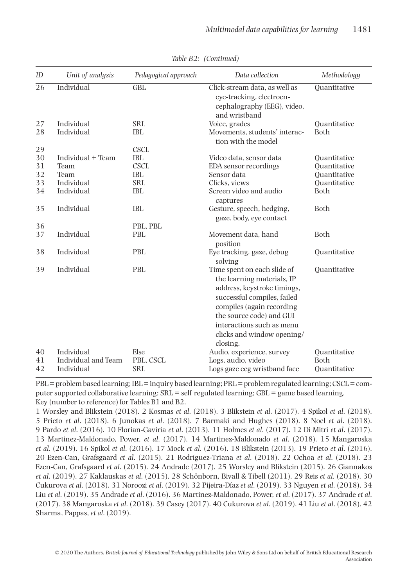| ID | Unit of analysis    | Pedagogical approach | Data collection                                                                                                                                                                                                                                         | Methodology  |
|----|---------------------|----------------------|---------------------------------------------------------------------------------------------------------------------------------------------------------------------------------------------------------------------------------------------------------|--------------|
| 26 | Individual          | <b>GBL</b>           | Click-stream data, as well as<br>eye-tracking, electroen-<br>cephalography (EEG), video,<br>and wristband                                                                                                                                               | Ouantitative |
| 27 | Individual          | <b>SRL</b>           | Voice, grades                                                                                                                                                                                                                                           | Ouantitative |
| 28 | Individual          | <b>IBL</b>           | Movements, students' interac-<br>tion with the model                                                                                                                                                                                                    | <b>Both</b>  |
| 29 |                     | <b>CSCL</b>          |                                                                                                                                                                                                                                                         |              |
| 30 | Individual + Team   | <b>IBL</b>           | Video data, sensor data                                                                                                                                                                                                                                 | Ouantitative |
| 31 | Team                | <b>CSCL</b>          | EDA sensor recordings                                                                                                                                                                                                                                   | Ouantitative |
| 32 | Team                | <b>IBL</b>           | Sensor data                                                                                                                                                                                                                                             | Ouantitative |
| 33 | Individual          | <b>SRL</b>           | Clicks, views                                                                                                                                                                                                                                           | Quantitative |
| 34 | Individual          | <b>IBL</b>           | Screen video and audio<br>captures                                                                                                                                                                                                                      | <b>Both</b>  |
| 35 | Individual          | <b>IBL</b>           | Gesture, speech, hedging,<br>gaze. body, eye contact                                                                                                                                                                                                    | <b>Both</b>  |
| 36 |                     | PBL, PBL             |                                                                                                                                                                                                                                                         |              |
| 37 | Individual          | PBL                  | Movement data, hand<br>position                                                                                                                                                                                                                         | Both         |
| 38 | Individual          | PBL                  | Eye tracking, gaze, debug<br>solving                                                                                                                                                                                                                    | Ouantitative |
| 39 | Individual          | PBL                  | Time spent on each slide of<br>the learning materials, IP<br>address, keystroke timings,<br>successful compiles, failed<br>compiles (again recording<br>the source code) and GUI<br>interactions such as menu<br>clicks and window opening/<br>closing. | Ouantitative |
| 40 | Individual          | Else                 | Audio, experience, survey                                                                                                                                                                                                                               | Quantitative |
| 41 | Individual and Team | PBL, CSCL            | Logs, audio, video                                                                                                                                                                                                                                      | <b>Both</b>  |
| 42 | Individual          | <b>SRL</b>           | Logs gaze eeg wristband face                                                                                                                                                                                                                            | Ouantitative |

*Table B2 : (Continued)*

 PBL = problem based learning; IBL = inquiry based learning; PRL = problem regulated learning; CSCL = computer supported collaborative learning; SRL = self regulated learning; GBL = game based learning. Key (number to reference) for Tables B1 and B2.

 1 Worsley and Blikstein ( 2018 ). 2 Kosmas *et al* . ( 2018 ). 3 Blikstein *et al* . ( 2017 ). 4 Spikol *et al* . ( 2018 ). 5 Prieto *et al* . ( 2018 ). 6 Junokas *et al* . ( 2018 ). 7 Barmaki and Hughes ( 2018 ). 8 Noel *et al* . ( 2018 ). 9 Pardo *et al* . ( 2016 ). 10 Florian-Gaviria *et al* . ( 2013 ). 11 Holmes *et al* . ( 2017 ). 12 Di Mitri *et al* . ( 2017 ). 13 Martinez-Maldonado, Power, *et al* . ( 2017 ). 14 Martinez-Maldonado *et al* . ( 2018 ). 15 Mangaroska *et al* . ( 2019 ). 16 Spikol *et al* . ( 2016 ). 17 Mock *et al* . ( 2016 ). 18 Blikstein ( 2013 ). 19 Prieto *et al* . ( 2016 ). 20 Ezen-Can, Grafsgaard *et al* . (2015). 21 Rodríguez-Triana *et al* . ( 2018 ). 22 Ochoa *et al* . ( 2018 ). 23 Ezen-Can, Grafsgaard *et al* . (2015). 24 Andrade ( 2017 ). 25 Worsley and Blikstein ( 2015 ). 26 Giannakos *et al* . ( 2019 ). 27 Kaklauskas *et al* . ( 2015 ). 28 Schönborn, Bivall & Tibell ( 2011 ). 29 Reis *et al* . ( 2018 ). 30 Cukurova *et al* . ( 2018 ). 31 Noroozi *et al* . ( 2019 ). 32 Pijeira-Díaz *et al* . ( 2019 ). 33 Nguyen *et al* . ( 2018 ). 34 Liu *et al* . ( 2019 ). 35 Andrade *et al* . ( 2016 ). 36 Martinez-Maldonado, Power, *et al* . ( 2017 ). 37 Andrade *et al* . ( 2017 ). 38 Mangaroska *et al* . ( 2018 ). 39 Casey ( 2017 ). 40 Cukurova *et al* . ( 2019 ). 41 Liu *et al* . ( 2018 ). 42 Sharma, Pappas, *et al* . ( 2019 ).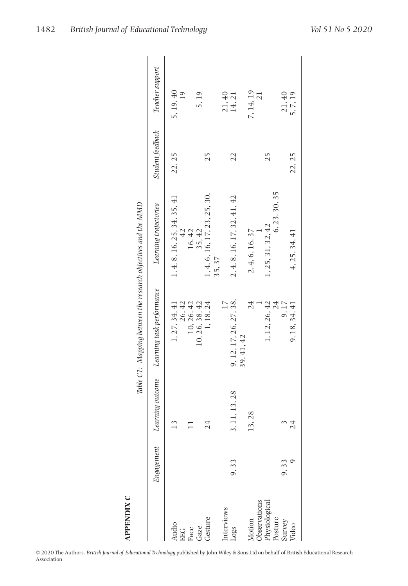| <b>APPENDIX C</b>                                  |            |               |                                                               |                                   |                  |                  |
|----------------------------------------------------|------------|---------------|---------------------------------------------------------------|-----------------------------------|------------------|------------------|
|                                                    |            |               | Table C1: Mapping between the research objectives and the MMD |                                   |                  |                  |
|                                                    | Engagement |               | Learning outcome Learning task performance                    | Learning trajectories             | Student feedback | Teacher support  |
| Audio<br>EEG<br>Face<br>Gaze<br>Gesture            |            | 13            | 26, 42<br>1, 27, 34, 41                                       | 1, 4, 8, 16, 25, 34, 35, 41<br>42 | 22.25            | 5, 19, 40<br>19  |
|                                                    |            |               | $10, 26, 42$<br>$10, 26, 38, 42$                              | 16,42                             |                  |                  |
|                                                    |            |               |                                                               | 35,42                             |                  | 5.19             |
|                                                    |            | 24            | 1, 18, 24                                                     | 1, 4, 6, 16, 17, 23, 25, 30,      | 25               |                  |
|                                                    |            |               |                                                               | 35,37                             |                  |                  |
| aterviews                                          |            |               |                                                               |                                   |                  |                  |
| sãor                                               | 9,33       | 3, 11, 13, 28 | 9, 12, 17, 26, 27, 38,<br>39, 41, 42                          | 2, 4, 8, 16, 17, 32, 41, 42       | 22               | 21, 40<br>14, 21 |
|                                                    |            | 13,28         | $^{24}$                                                       | 2, 4, 6, 16, 37                   |                  | 7, 14, 19        |
|                                                    |            |               |                                                               |                                   |                  | $\overline{21}$  |
| Motion<br>Observations<br>Physiological<br>Posture |            |               | 1, 12, 26, 42                                                 | 1, 25, 31, 32, 42                 | 25               |                  |
| Survey                                             | 9,33       |               | 24<br>9,17                                                    | 6.23.30.35                        |                  | 21, 40           |
| <b>/ideo</b>                                       |            | 24            | 9, 18, 34, 41                                                 | 4, 25, 34, 41                     | 22, 25           | 5,7,19           |
|                                                    |            |               |                                                               |                                   |                  |                  |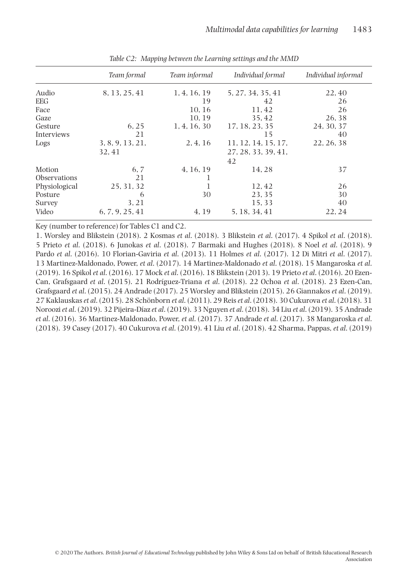|               | Team formal      | Team informal | Individual formal   | Individual informal |
|---------------|------------------|---------------|---------------------|---------------------|
| Audio         | 8, 13, 25, 41    | 1, 4, 16, 19  | 5, 27, 34, 35, 41   | 22,40               |
| EEG           |                  | 19            | 42                  | 26                  |
| Face          |                  | 10.16         | 11, 42              | 26                  |
| Gaze          |                  | 10.19         | 35, 42              | 26,38               |
| Gesture       | 6.25             | 1, 4, 16, 30  | 17, 18, 23, 35      | 24, 30, 37          |
| Interviews    | 21               |               | 15                  | 40                  |
| Logs          | 3, 8, 9, 13, 21, | 2, 4, 16      | 11, 12, 14, 15, 17, | 22, 26, 38          |
|               | 32.41            |               | 27, 28, 33, 39, 41, |                     |
|               |                  |               | 42                  |                     |
| Motion        | 6.7              | 4, 16, 19     | 14.28               | 37                  |
| Observations  | 21               | 1             |                     |                     |
| Physiological | 25, 31, 32       | 1             | 12.42               | 26                  |
| Posture       | 6                | 30            | 23, 35              | 30                  |
| Survey        | 3.21             |               | 15, 33              | 40                  |
| Video         | 6, 7, 9, 25, 41  | 4, 19         | 5.18.34.41          | 22, 24              |

*Table C2: Mapping between the Learning settings and the MMD* 

Key (number to reference) for Tables C1 and C2.

 1. Worsley and Blikstein ( 2018 ). 2 Kosmas *et al* . ( 2018 ). 3 Blikstein *et al* . ( 2017 ). 4 Spikol *et al* . ( 2018 ). 5 Prieto *et al* . ( 2018 ). 6 Junokas *et al* . ( 2018 ). 7 Barmaki and Hughes ( 2018 ). 8 Noel *et al* . ( 2018 ). 9 Pardo *et al* . ( 2016 ). 10 Florian-Gaviria *et al* . ( 2013 ). 11 Holmes *et al* . ( 2017 ). 12 Di Mitri *et al* . ( 2017 ). 13 Martinez-Maldonado, Power, *et al* . ( 2017 ). 14 Martinez-Maldonado *et al* . ( 2018 ). 15 Mangaroska *et al* . ( 2019 ). 16 Spikol *et al* . ( 2016 ). 17 Mock *et al* . ( 2016 ). 18 Blikstein ( 2013 ). 19 Prieto *et al* . ( 2016 ). 20 Ezen-Can, Grafsgaard *et al* . (2015). 21 Rodríguez-Triana *et al* . ( 2018 ). 22 Ochoa *et al* . ( 2018 ). 23 Ezen-Can, Grafsgaard *et al* . (2015). 24 Andrade ( 2017 ). 25 Worsley and Blikstein ( 2015 ). 26 Giannakos *et al* . ( 2019 ). 27 Kaklauskas *et al* . ( 2015 ). 28 Schönborn *et al* . (2011). 29 Reis *et al* . ( 2018 ). 30 Cukurova *et al* . ( 2018 ). 31 Noroozi *et al* . ( 2019 ). 32 Pijeira-Díaz *et al* . ( 2019 ). 33 Nguyen *et al* . ( 2018 ). 34 Liu *et al* . ( 2019 ). 35 Andrade *et al* . ( 2016 ). 36 Martinez-Maldonado, Power, *et al* . ( 2017 ). 37 Andrade *et al* . ( 2017 ). 38 Mangaroska *et al* . ( 2018 ). 39 Casey ( 2017 ). 40 Cukurova *et al* . ( 2019 ). 41 Liu *et al* . ( 2018 ). 42 Sharma, Pappas, *et al* . ( 2019 )